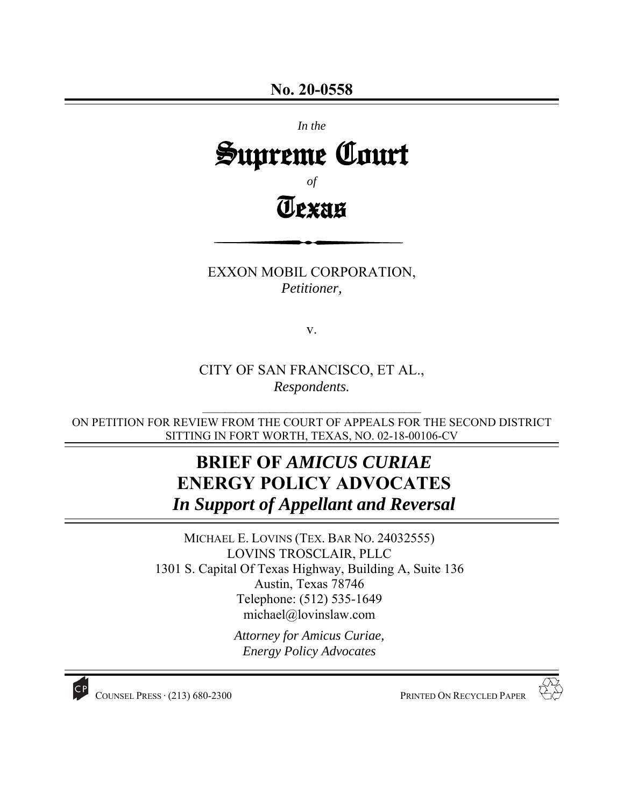# *In the*  Supreme Court *of* Texas

EXXON MOBIL CORPORATION, *Petitioner,* 

v.

CITY OF SAN FRANCISCO, ET AL., *Respondents.* 

ON PETITION FOR REVIEW FROM THE COURT OF APPEALS FOR THE SECOND DISTRICT SITTING IN FORT WORTH, TEXAS, NO. 02-18-00106-CV

 $\mathcal{L}_\text{max}$  , where  $\mathcal{L}_\text{max}$  and  $\mathcal{L}_\text{max}$  and  $\mathcal{L}_\text{max}$ 

# **BRIEF OF** *AMICUS CURIAE*  **ENERGY POLICY ADVOCATES**  *In Support of Appellant and Reversal*

MICHAEL E. LOVINS (TEX. BAR NO. 24032555) LOVINS TROSCLAIR, PLLC 1301 S. Capital Of Texas Highway, Building A, Suite 136 Austin, Texas 78746 Telephone: (512) 535-1649 michael@lovinslaw.com

> *Attorney for Amicus Curiae, Energy Policy Advocates*



COUNSEL PRESS ∙ (213) 680-2300 PRINTED ON RECYCLED PAPER

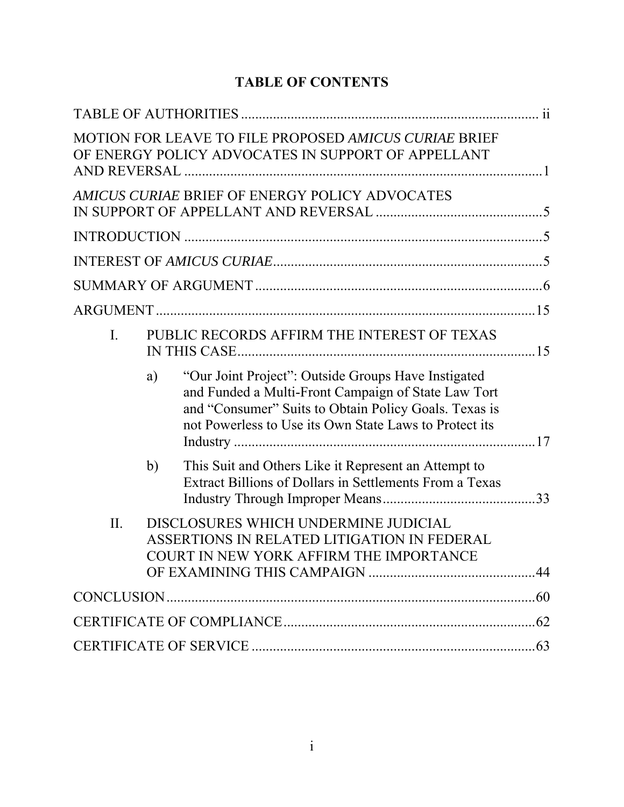# **TABLE OF CONTENTS**

|                |                                             | MOTION FOR LEAVE TO FILE PROPOSED AMICUS CURIAE BRIEF<br>OF ENERGY POLICY ADVOCATES IN SUPPORT OF APPELLANT                                                                                                                   |  |
|----------------|---------------------------------------------|-------------------------------------------------------------------------------------------------------------------------------------------------------------------------------------------------------------------------------|--|
|                |                                             | AMICUS CURIAE BRIEF OF ENERGY POLICY ADVOCATES                                                                                                                                                                                |  |
|                |                                             |                                                                                                                                                                                                                               |  |
|                |                                             |                                                                                                                                                                                                                               |  |
|                |                                             |                                                                                                                                                                                                                               |  |
|                |                                             |                                                                                                                                                                                                                               |  |
| $\mathbf{I}$ . | PUBLIC RECORDS AFFIRM THE INTEREST OF TEXAS |                                                                                                                                                                                                                               |  |
|                | a)                                          | "Our Joint Project": Outside Groups Have Instigated<br>and Funded a Multi-Front Campaign of State Law Tort<br>and "Consumer" Suits to Obtain Policy Goals. Texas is<br>not Powerless to Use its Own State Laws to Protect its |  |
|                | b)                                          | This Suit and Others Like it Represent an Attempt to<br>Extract Billions of Dollars in Settlements From a Texas                                                                                                               |  |
| II.            |                                             | DISCLOSURES WHICH UNDERMINE JUDICIAL<br>ASSERTIONS IN RELATED LITIGATION IN FEDERAL<br>COURT IN NEW YORK AFFIRM THE IMPORTANCE                                                                                                |  |
|                |                                             |                                                                                                                                                                                                                               |  |
|                |                                             |                                                                                                                                                                                                                               |  |
|                |                                             |                                                                                                                                                                                                                               |  |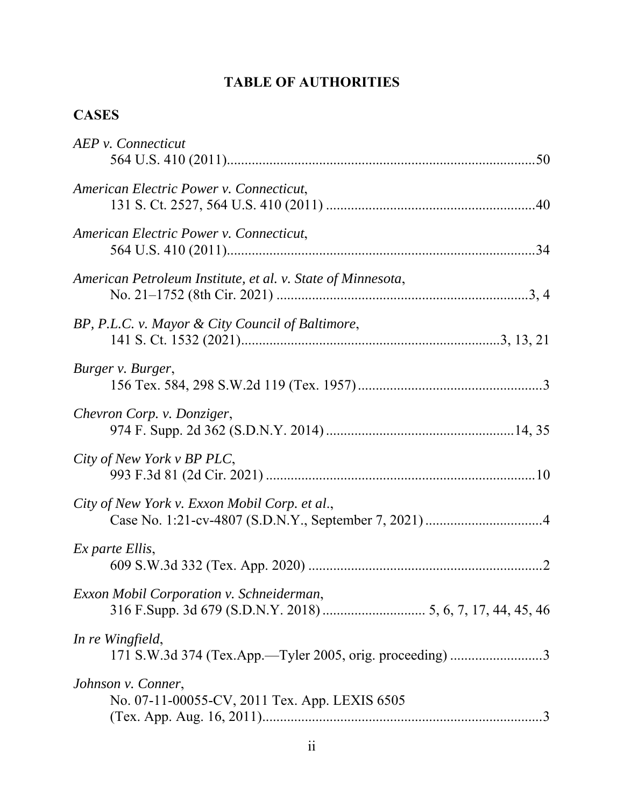# **TABLE OF AUTHORITIES**

# **CASES**

| AEP v. Connecticut                                                  |
|---------------------------------------------------------------------|
| American Electric Power v. Connecticut,                             |
| American Electric Power v. Connecticut,                             |
| American Petroleum Institute, et al. v. State of Minnesota,         |
| BP, P.L.C. v. Mayor & City Council of Baltimore,                    |
| Burger v. Burger,                                                   |
| Chevron Corp. v. Donziger,                                          |
| City of New York v BP PLC,                                          |
| City of New York v. Exxon Mobil Corp. et al.,                       |
| Ex parte Ellis,                                                     |
| Exxon Mobil Corporation v. Schneiderman,                            |
| In re Wingfield,                                                    |
| Johnson v. Conner,<br>No. 07-11-00055-CV, 2011 Tex. App. LEXIS 6505 |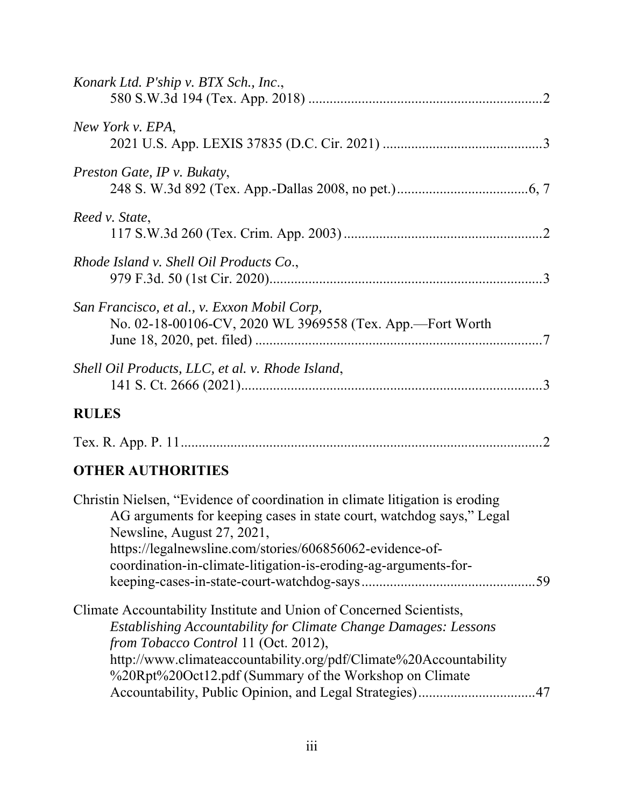| Konark Ltd. P'ship v. BTX Sch., Inc.,                                                                                                                                                                                                                                                                                                                                           |
|---------------------------------------------------------------------------------------------------------------------------------------------------------------------------------------------------------------------------------------------------------------------------------------------------------------------------------------------------------------------------------|
| New York v. EPA,                                                                                                                                                                                                                                                                                                                                                                |
| Preston Gate, IP v. Bukaty,                                                                                                                                                                                                                                                                                                                                                     |
| Reed v. State,                                                                                                                                                                                                                                                                                                                                                                  |
| Rhode Island v. Shell Oil Products Co.,                                                                                                                                                                                                                                                                                                                                         |
| San Francisco, et al., v. Exxon Mobil Corp,<br>No. 02-18-00106-CV, 2020 WL 3969558 (Tex. App.-Fort Worth                                                                                                                                                                                                                                                                        |
| Shell Oil Products, LLC, et al. v. Rhode Island,                                                                                                                                                                                                                                                                                                                                |
| <b>RULES</b>                                                                                                                                                                                                                                                                                                                                                                    |
|                                                                                                                                                                                                                                                                                                                                                                                 |
| <b>OTHER AUTHORITIES</b>                                                                                                                                                                                                                                                                                                                                                        |
| Christin Nielsen, "Evidence of coordination in climate litigation is eroding<br>AG arguments for keeping cases in state court, watchdog says," Legal<br>Newsline, August 27, 2021,<br>https://legalnewsline.com/stories/606856062-evidence-of-<br>coordination-in-climate-litigation-is-eroding-ag-arguments-for-<br>.59                                                        |
| Climate Accountability Institute and Union of Concerned Scientists,<br><b>Establishing Accountability for Climate Change Damages: Lessons</b><br>from Tobacco Control 11 (Oct. 2012),<br>http://www.climateaccountability.org/pdf/Climate%20Accountability<br>%20Rpt%20Oct12.pdf (Summary of the Workshop on Climate<br>Accountability, Public Opinion, and Legal Strategies)47 |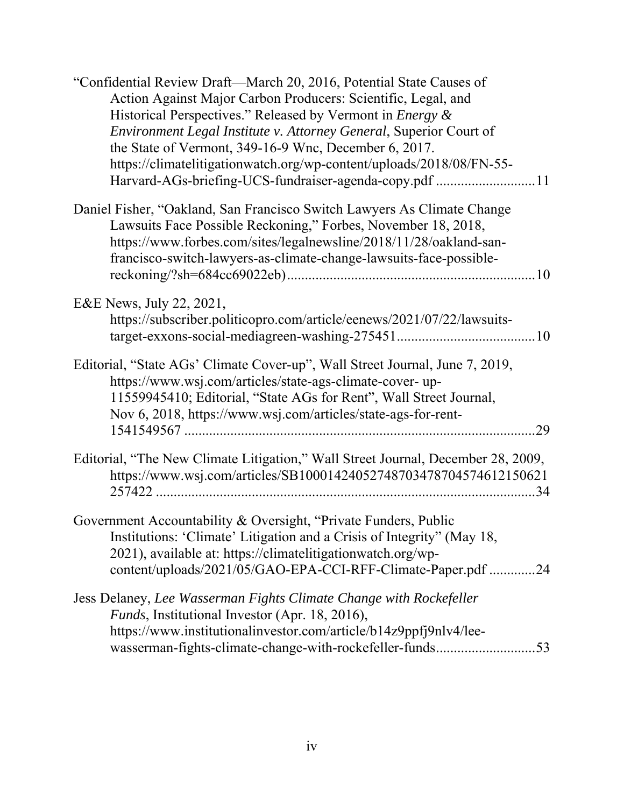| "Confidential Review Draft—March 20, 2016, Potential State Causes of<br>Action Against Major Carbon Producers: Scientific, Legal, and<br>Historical Perspectives." Released by Vermont in <i>Energy &amp;</i><br>Environment Legal Institute v. Attorney General, Superior Court of<br>the State of Vermont, 349-16-9 Wnc, December 6, 2017.<br>https://climatelitigationwatch.org/wp-content/uploads/2018/08/FN-55-<br>Harvard-AGs-briefing-UCS-fundraiser-agenda-copy.pdf 11 |
|--------------------------------------------------------------------------------------------------------------------------------------------------------------------------------------------------------------------------------------------------------------------------------------------------------------------------------------------------------------------------------------------------------------------------------------------------------------------------------|
| Daniel Fisher, "Oakland, San Francisco Switch Lawyers As Climate Change<br>Lawsuits Face Possible Reckoning," Forbes, November 18, 2018,<br>https://www.forbes.com/sites/legalnewsline/2018/11/28/oakland-san-<br>francisco-switch-lawyers-as-climate-change-lawsuits-face-possible-                                                                                                                                                                                           |
| E&E News, July 22, 2021,<br>https://subscriber.politicopro.com/article/eenews/2021/07/22/lawsuits-                                                                                                                                                                                                                                                                                                                                                                             |
| Editorial, "State AGs' Climate Cover-up", Wall Street Journal, June 7, 2019,<br>https://www.wsj.com/articles/state-ags-climate-cover-up-<br>11559945410; Editorial, "State AGs for Rent", Wall Street Journal,<br>Nov 6, 2018, https://www.wsj.com/articles/state-ags-for-rent-<br>.29                                                                                                                                                                                         |
| Editorial, "The New Climate Litigation," Wall Street Journal, December 28, 2009,<br>https://www.wsj.com/articles/SB10001424052748703478704574612150621<br>257422<br>.34                                                                                                                                                                                                                                                                                                        |
| Government Accountability & Oversight, "Private Funders, Public<br>Institutions: 'Climate' Litigation and a Crisis of Integrity'' (May 18,<br>2021), available at: https://climatelitigationwatch.org/wp-<br>content/uploads/2021/05/GAO-EPA-CCI-RFF-Climate-Paper.pdf<br>.24                                                                                                                                                                                                  |
| Jess Delaney, Lee Wasserman Fights Climate Change with Rockefeller<br>Funds, Institutional Investor (Apr. 18, 2016),<br>https://www.institutionalinvestor.com/article/b14z9ppfj9nlv4/lee-<br>wasserman-fights-climate-change-with-rockefeller-funds53                                                                                                                                                                                                                          |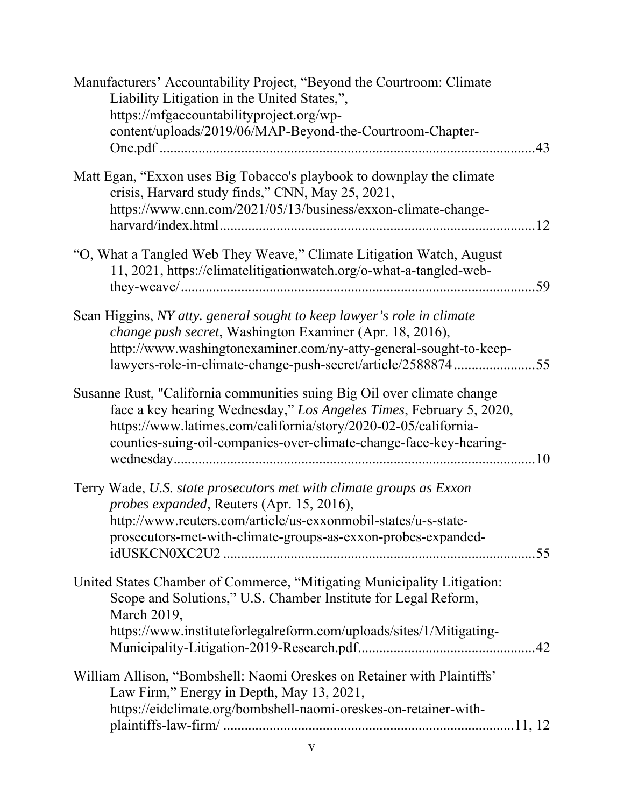| Manufacturers' Accountability Project, "Beyond the Courtroom: Climate<br>Liability Litigation in the United States,",<br>https://mfgaccountabilityproject.org/wp-<br>content/uploads/2019/06/MAP-Beyond-the-Courtroom-Chapter-                                                          |  |
|-----------------------------------------------------------------------------------------------------------------------------------------------------------------------------------------------------------------------------------------------------------------------------------------|--|
| Matt Egan, "Exxon uses Big Tobacco's playbook to downplay the climate<br>crisis, Harvard study finds," CNN, May 25, 2021,<br>https://www.cnn.com/2021/05/13/business/exxon-climate-change-                                                                                              |  |
| "O, What a Tangled Web They Weave," Climate Litigation Watch, August<br>11, 2021, https://climatelitigationwatch.org/o-what-a-tangled-web-                                                                                                                                              |  |
| Sean Higgins, NY atty. general sought to keep lawyer's role in climate<br>change push secret, Washington Examiner (Apr. 18, 2016),<br>http://www.washingtonexaminer.com/ny-atty-general-sought-to-keep-<br>lawyers-role-in-climate-change-push-secret/article/258887455                 |  |
| Susanne Rust, "California communities suing Big Oil over climate change<br>face a key hearing Wednesday," Los Angeles Times, February 5, 2020,<br>https://www.latimes.com/california/story/2020-02-05/california-<br>counties-suing-oil-companies-over-climate-change-face-key-hearing- |  |
| Terry Wade, U.S. state prosecutors met with climate groups as Exxon<br>probes expanded, Reuters (Apr. 15, 2016),<br>http://www.reuters.com/article/us-exxonmobil-states/u-s-state-<br>prosecutors-met-with-climate-groups-as-exxon-probes-expanded-                                     |  |
| United States Chamber of Commerce, "Mitigating Municipality Litigation:<br>Scope and Solutions," U.S. Chamber Institute for Legal Reform,<br>March 2019,<br>https://www.instituteforlegalreform.com/uploads/sites/1/Mitigating-                                                         |  |
| William Allison, "Bombshell: Naomi Oreskes on Retainer with Plaintiffs'<br>Law Firm," Energy in Depth, May 13, 2021,<br>https://eidclimate.org/bombshell-naomi-oreskes-on-retainer-with-                                                                                                |  |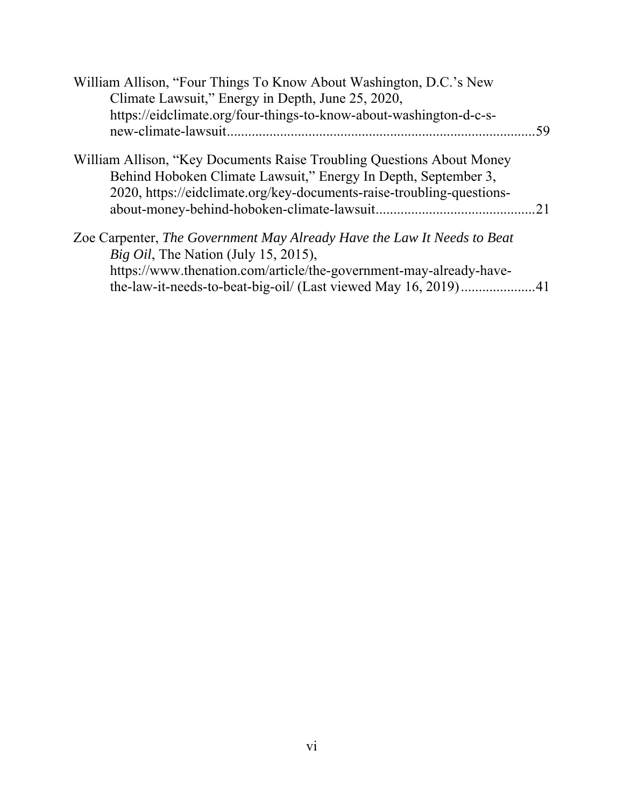| William Allison, "Four Things To Know About Washington, D.C.'s New<br>Climate Lawsuit," Energy in Depth, June 25, 2020,                                                                                           |     |
|-------------------------------------------------------------------------------------------------------------------------------------------------------------------------------------------------------------------|-----|
| https://eidclimate.org/four-things-to-know-about-washington-d-c-s-                                                                                                                                                | .59 |
| William Allison, "Key Documents Raise Troubling Questions About Money"<br>Behind Hoboken Climate Lawsuit," Energy In Depth, September 3,<br>2020, https://eidclimate.org/key-documents-raise-troubling-questions- |     |
| Zoe Carpenter, The Government May Already Have the Law It Needs to Beat<br><i>Big Oil</i> , The Nation (July 15, 2015),<br>https://www.thenation.com/article/the-government-may-already-have-                     |     |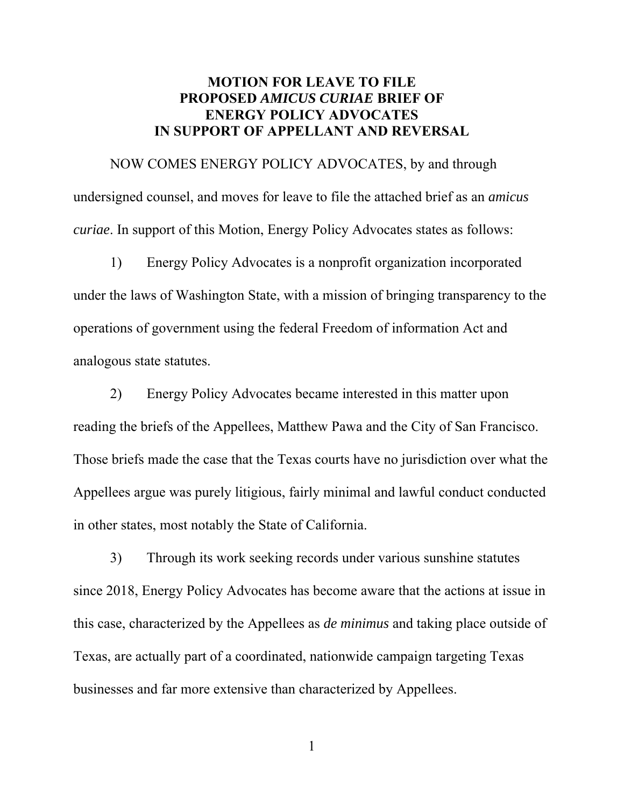## **MOTION FOR LEAVE TO FILE PROPOSED** *AMICUS CURIAE* **BRIEF OF ENERGY POLICY ADVOCATES IN SUPPORT OF APPELLANT AND REVERSAL**

NOW COMES ENERGY POLICY ADVOCATES, by and through undersigned counsel, and moves for leave to file the attached brief as an *amicus curiae*. In support of this Motion, Energy Policy Advocates states as follows:

1) Energy Policy Advocates is a nonprofit organization incorporated under the laws of Washington State, with a mission of bringing transparency to the operations of government using the federal Freedom of information Act and analogous state statutes.

2) Energy Policy Advocates became interested in this matter upon reading the briefs of the Appellees, Matthew Pawa and the City of San Francisco. Those briefs made the case that the Texas courts have no jurisdiction over what the Appellees argue was purely litigious, fairly minimal and lawful conduct conducted in other states, most notably the State of California.

3) Through its work seeking records under various sunshine statutes since 2018, Energy Policy Advocates has become aware that the actions at issue in this case, characterized by the Appellees as *de minimus* and taking place outside of Texas, are actually part of a coordinated, nationwide campaign targeting Texas businesses and far more extensive than characterized by Appellees.

1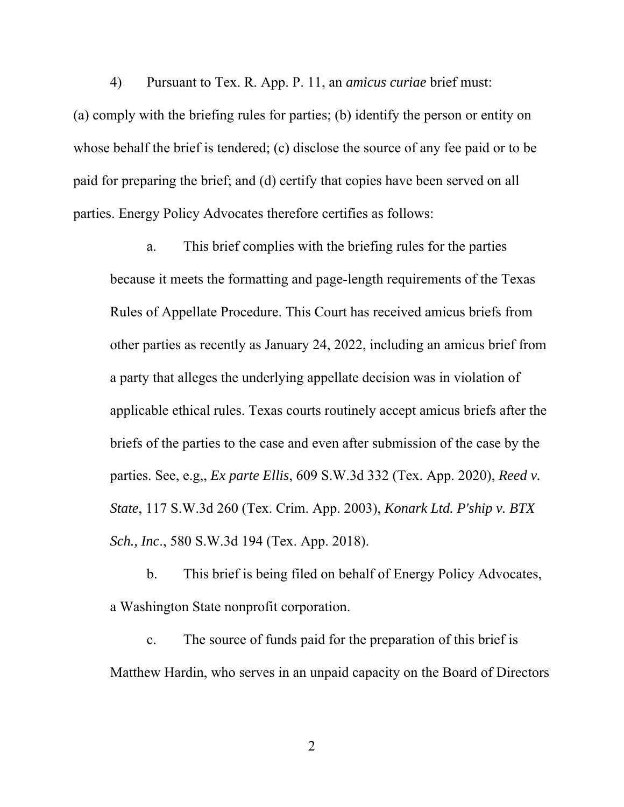4) Pursuant to Tex. R. App. P. 11, an *amicus curiae* brief must: (a) comply with the briefing rules for parties; (b) identify the person or entity on whose behalf the brief is tendered; (c) disclose the source of any fee paid or to be paid for preparing the brief; and (d) certify that copies have been served on all parties. Energy Policy Advocates therefore certifies as follows:

a. This brief complies with the briefing rules for the parties because it meets the formatting and page-length requirements of the Texas Rules of Appellate Procedure. This Court has received amicus briefs from other parties as recently as January 24, 2022, including an amicus brief from a party that alleges the underlying appellate decision was in violation of applicable ethical rules. Texas courts routinely accept amicus briefs after the briefs of the parties to the case and even after submission of the case by the parties. See, e.g,, *Ex parte Ellis*, 609 S.W.3d 332 (Tex. App. 2020), *Reed v. State*, 117 S.W.3d 260 (Tex. Crim. App. 2003), *Konark Ltd. P'ship v. BTX Sch., Inc*., 580 S.W.3d 194 (Tex. App. 2018).

b. This brief is being filed on behalf of Energy Policy Advocates, a Washington State nonprofit corporation.

c. The source of funds paid for the preparation of this brief is Matthew Hardin, who serves in an unpaid capacity on the Board of Directors

2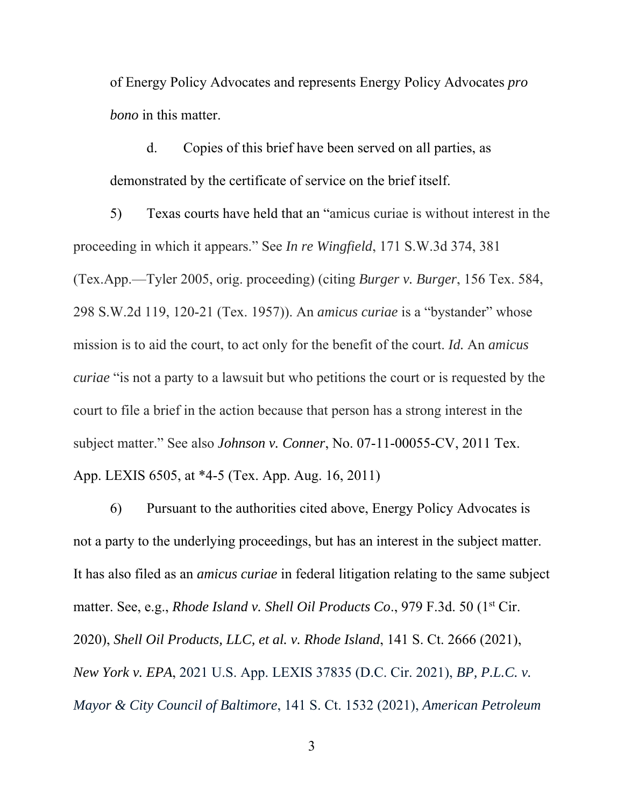of Energy Policy Advocates and represents Energy Policy Advocates *pro bono* in this matter.

d. Copies of this brief have been served on all parties, as demonstrated by the certificate of service on the brief itself.

5) Texas courts have held that an "amicus curiae is without interest in the proceeding in which it appears." See *In re Wingfield*, 171 S.W.3d 374, 381 (Tex.App.—Tyler 2005, orig. proceeding) (citing *Burger v. Burger*, 156 Tex. 584, 298 S.W.2d 119, 120-21 (Tex. 1957)). An *amicus curiae* is a "bystander" whose mission is to aid the court, to act only for the benefit of the court. *Id.* An *amicus curiae* "is not a party to a lawsuit but who petitions the court or is requested by the court to file a brief in the action because that person has a strong interest in the subject matter." See also *Johnson v. Conner*, No. 07-11-00055-CV, 2011 Tex. App. LEXIS 6505, at \*4-5 (Tex. App. Aug. 16, 2011)

6) Pursuant to the authorities cited above, Energy Policy Advocates is not a party to the underlying proceedings, but has an interest in the subject matter. It has also filed as an *amicus curiae* in federal litigation relating to the same subject matter. See, e.g., *Rhode Island v. Shell Oil Products Co.*, 979 F.3d. 50 (1<sup>st</sup> Cir. 2020), *Shell Oil Products, LLC, et al. v. Rhode Island*, 141 S. Ct. 2666 (2021), *New York v. EPA*, 2021 U.S. App. LEXIS 37835 (D.C. Cir. 2021), *BP, P.L.C. v. Mayor & City Council of Baltimore*, 141 S. Ct. 1532 (2021), *American Petroleum*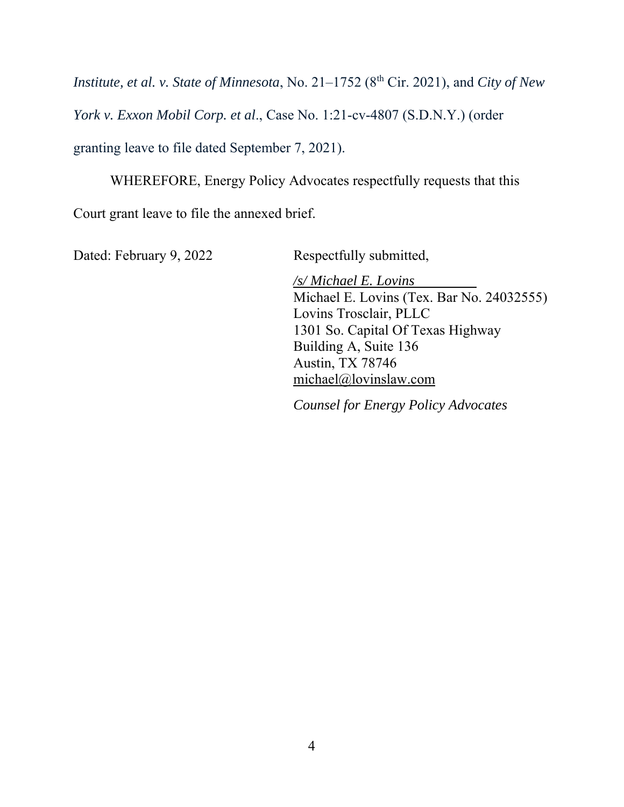*Institute, et al. v. State of Minnesota, No.* 21–1752 (8<sup>th</sup> Cir. 2021), and *City of New* 

*York v. Exxon Mobil Corp. et al*., Case No. 1:21-cv-4807 (S.D.N.Y.) (order

granting leave to file dated September 7, 2021).

WHEREFORE, Energy Policy Advocates respectfully requests that this

Court grant leave to file the annexed brief.

Dated: February 9, 2022 Respectfully submitted,

*/s/ Michael E. Lovins*  Michael E. Lovins (Tex. Bar No. 24032555) Lovins Trosclair, PLLC 1301 So. Capital Of Texas Highway Building A, Suite 136 Austin, TX 78746 michael@lovinslaw.com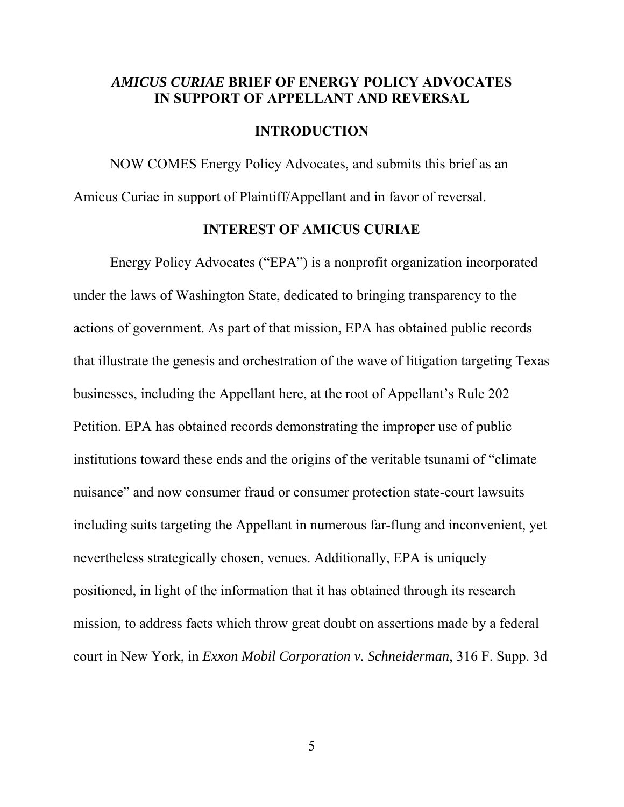### *AMICUS CURIAE* **BRIEF OF ENERGY POLICY ADVOCATES IN SUPPORT OF APPELLANT AND REVERSAL**

#### **INTRODUCTION**

 NOW COMES Energy Policy Advocates, and submits this brief as an Amicus Curiae in support of Plaintiff/Appellant and in favor of reversal.

#### **INTEREST OF AMICUS CURIAE**

 Energy Policy Advocates ("EPA") is a nonprofit organization incorporated under the laws of Washington State, dedicated to bringing transparency to the actions of government. As part of that mission, EPA has obtained public records that illustrate the genesis and orchestration of the wave of litigation targeting Texas businesses, including the Appellant here, at the root of Appellant's Rule 202 Petition. EPA has obtained records demonstrating the improper use of public institutions toward these ends and the origins of the veritable tsunami of "climate nuisance" and now consumer fraud or consumer protection state-court lawsuits including suits targeting the Appellant in numerous far-flung and inconvenient, yet nevertheless strategically chosen, venues. Additionally, EPA is uniquely positioned, in light of the information that it has obtained through its research mission, to address facts which throw great doubt on assertions made by a federal court in New York, in *Exxon Mobil Corporation v. Schneiderman*, 316 F. Supp. 3d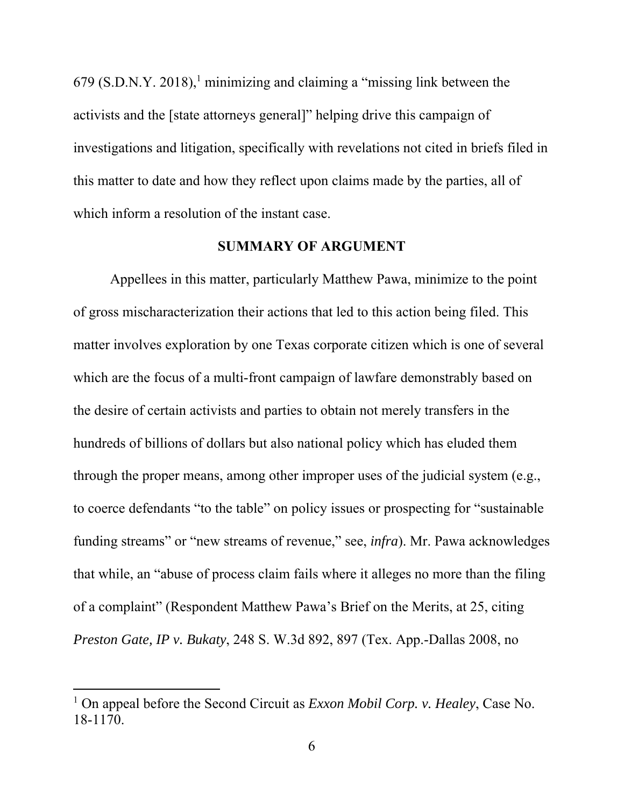$679$  (S.D.N.Y. 2018),<sup>1</sup> minimizing and claiming a "missing link between the activists and the [state attorneys general]" helping drive this campaign of investigations and litigation, specifically with revelations not cited in briefs filed in this matter to date and how they reflect upon claims made by the parties, all of which inform a resolution of the instant case.

#### **SUMMARY OF ARGUMENT**

 Appellees in this matter, particularly Matthew Pawa, minimize to the point of gross mischaracterization their actions that led to this action being filed. This matter involves exploration by one Texas corporate citizen which is one of several which are the focus of a multi-front campaign of lawfare demonstrably based on the desire of certain activists and parties to obtain not merely transfers in the hundreds of billions of dollars but also national policy which has eluded them through the proper means, among other improper uses of the judicial system (e.g., to coerce defendants "to the table" on policy issues or prospecting for "sustainable funding streams" or "new streams of revenue," see, *infra*). Mr. Pawa acknowledges that while, an "abuse of process claim fails where it alleges no more than the filing of a complaint" (Respondent Matthew Pawa's Brief on the Merits, at 25, citing *Preston Gate, IP v. Bukaty*, 248 S. W.3d 892, 897 (Tex. App.-Dallas 2008, no

<sup>&</sup>lt;sup>1</sup> On appeal before the Second Circuit as *Exxon Mobil Corp. v. Healey*, Case No. 18-1170.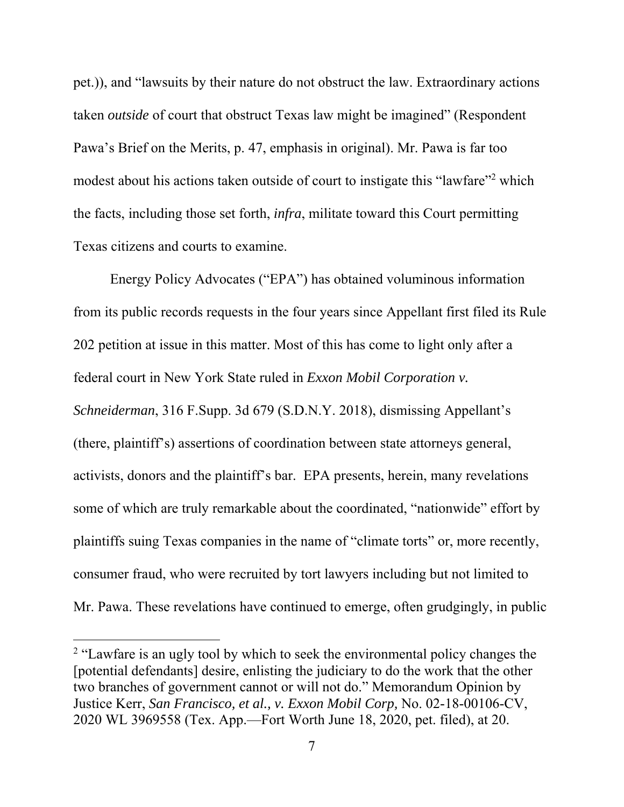pet.)), and "lawsuits by their nature do not obstruct the law. Extraordinary actions taken *outside* of court that obstruct Texas law might be imagined" (Respondent Pawa's Brief on the Merits, p. 47, emphasis in original). Mr. Pawa is far too modest about his actions taken outside of court to instigate this "lawfare"<sup>2</sup> which the facts, including those set forth, *infra*, militate toward this Court permitting Texas citizens and courts to examine.

 Energy Policy Advocates ("EPA") has obtained voluminous information from its public records requests in the four years since Appellant first filed its Rule 202 petition at issue in this matter. Most of this has come to light only after a federal court in New York State ruled in *Exxon Mobil Corporation v. Schneiderman*, 316 F.Supp. 3d 679 (S.D.N.Y. 2018), dismissing Appellant's (there, plaintiff's) assertions of coordination between state attorneys general, activists, donors and the plaintiff's bar. EPA presents, herein, many revelations some of which are truly remarkable about the coordinated, "nationwide" effort by plaintiffs suing Texas companies in the name of "climate torts" or, more recently, consumer fraud, who were recruited by tort lawyers including but not limited to Mr. Pawa. These revelations have continued to emerge, often grudgingly, in public

<sup>&</sup>lt;sup>2</sup> "Lawfare is an ugly tool by which to seek the environmental policy changes the [potential defendants] desire, enlisting the judiciary to do the work that the other two branches of government cannot or will not do." Memorandum Opinion by Justice Kerr, *San Francisco, et al., v. Exxon Mobil Corp,* No. 02-18-00106-CV, 2020 WL 3969558 (Tex. App.—Fort Worth June 18, 2020, pet. filed), at 20.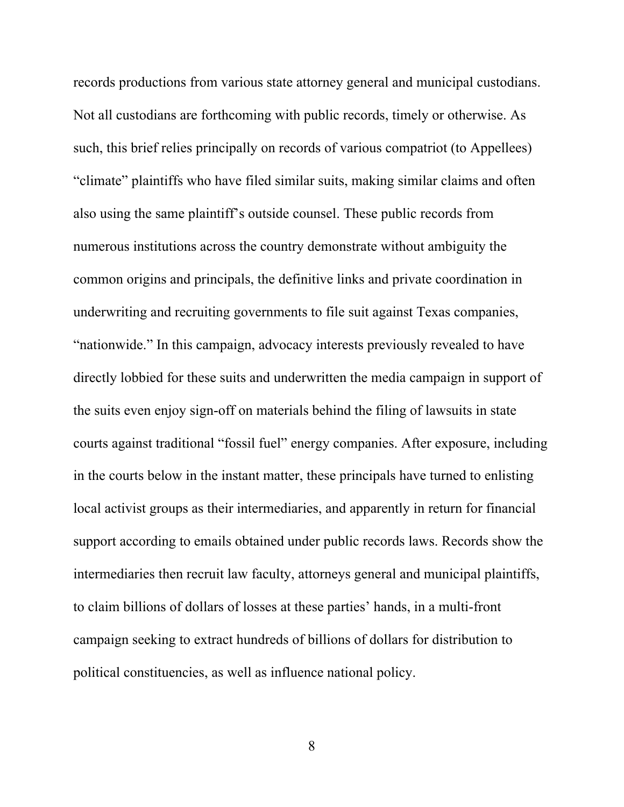records productions from various state attorney general and municipal custodians. Not all custodians are forthcoming with public records, timely or otherwise. As such, this brief relies principally on records of various compatriot (to Appellees) "climate" plaintiffs who have filed similar suits, making similar claims and often also using the same plaintiff's outside counsel. These public records from numerous institutions across the country demonstrate without ambiguity the common origins and principals, the definitive links and private coordination in underwriting and recruiting governments to file suit against Texas companies, "nationwide." In this campaign, advocacy interests previously revealed to have directly lobbied for these suits and underwritten the media campaign in support of the suits even enjoy sign-off on materials behind the filing of lawsuits in state courts against traditional "fossil fuel" energy companies. After exposure, including in the courts below in the instant matter, these principals have turned to enlisting local activist groups as their intermediaries, and apparently in return for financial support according to emails obtained under public records laws. Records show the intermediaries then recruit law faculty, attorneys general and municipal plaintiffs, to claim billions of dollars of losses at these parties' hands, in a multi-front campaign seeking to extract hundreds of billions of dollars for distribution to political constituencies, as well as influence national policy.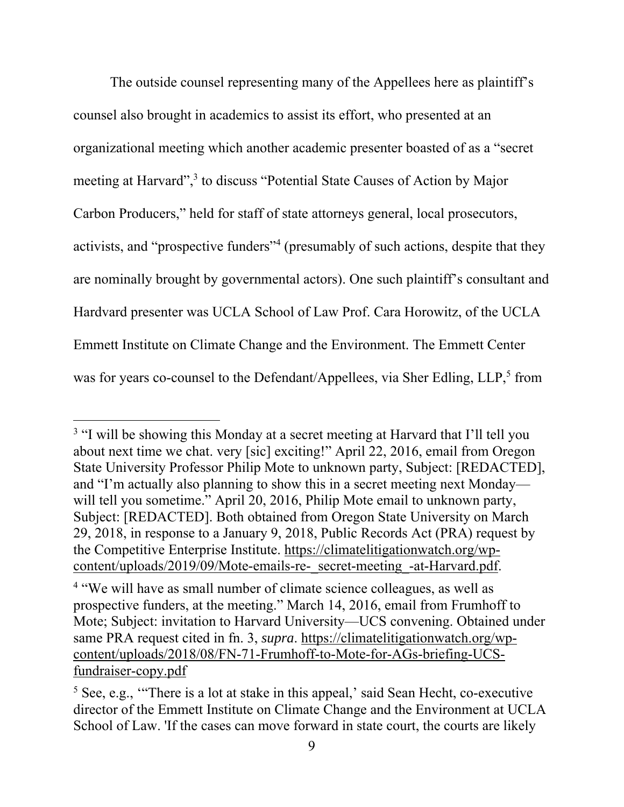The outside counsel representing many of the Appellees here as plaintiff's counsel also brought in academics to assist its effort, who presented at an organizational meeting which another academic presenter boasted of as a "secret meeting at Harvard",<sup>3</sup> to discuss "Potential State Causes of Action by Major Carbon Producers," held for staff of state attorneys general, local prosecutors, activists, and "prospective funders"<sup>4</sup> (presumably of such actions, despite that they are nominally brought by governmental actors). One such plaintiff's consultant and Hardvard presenter was UCLA School of Law Prof. Cara Horowitz, of the UCLA Emmett Institute on Climate Change and the Environment. The Emmett Center was for years co-counsel to the Defendant/Appellees, via Sher Edling, LLP,<sup>5</sup> from

<sup>&</sup>lt;sup>3</sup> "I will be showing this Monday at a secret meeting at Harvard that I'll tell you about next time we chat. very [sic] exciting!" April 22, 2016, email from Oregon State University Professor Philip Mote to unknown party, Subject: [REDACTED], and "I'm actually also planning to show this in a secret meeting next Monday will tell you sometime." April 20, 2016, Philip Mote email to unknown party, Subject: [REDACTED]. Both obtained from Oregon State University on March 29, 2018, in response to a January 9, 2018, Public Records Act (PRA) request by the Competitive Enterprise Institute. https://climatelitigationwatch.org/wpcontent/uploads/2019/09/Mote-emails-re-\_secret-meeting\_-at-Harvard.pdf.

<sup>&</sup>lt;sup>4</sup> "We will have as small number of climate science colleagues, as well as prospective funders, at the meeting." March 14, 2016, email from Frumhoff to Mote; Subject: invitation to Harvard University—UCS convening. Obtained under same PRA request cited in fn. 3, *supra*. https://climatelitigationwatch.org/wpcontent/uploads/2018/08/FN-71-Frumhoff-to-Mote-for-AGs-briefing-UCSfundraiser-copy.pdf

<sup>&</sup>lt;sup>5</sup> See, e.g., "There is a lot at stake in this appeal,' said Sean Hecht, co-executive director of the Emmett Institute on Climate Change and the Environment at UCLA School of Law. 'If the cases can move forward in state court, the courts are likely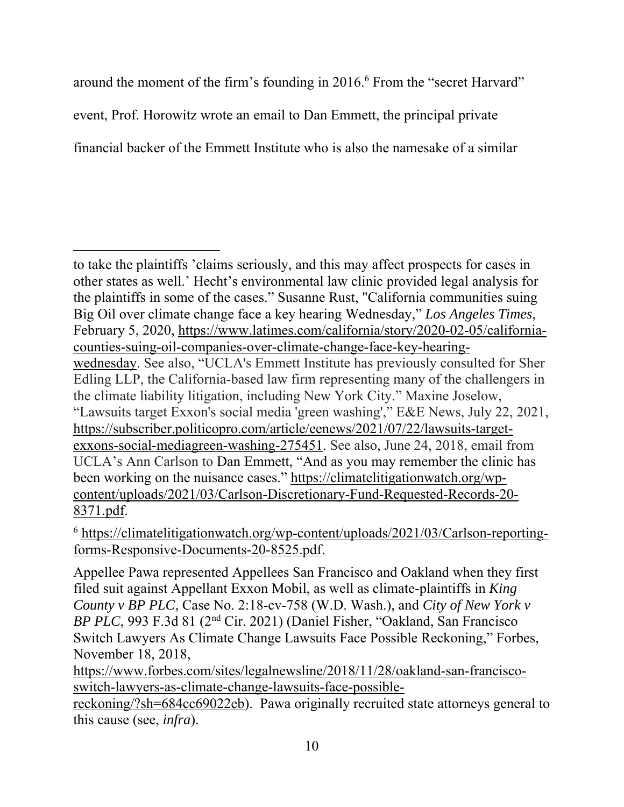around the moment of the firm's founding in 2016.<sup>6</sup> From the "secret Harvard" event, Prof. Horowitz wrote an email to Dan Emmett, the principal private financial backer of the Emmett Institute who is also the namesake of a similar

<sup>6</sup> https://climatelitigationwatch.org/wp-content/uploads/2021/03/Carlson-reportingforms-Responsive-Documents-20-8525.pdf.

Appellee Pawa represented Appellees San Francisco and Oakland when they first filed suit against Appellant Exxon Mobil, as well as climate-plaintiffs in *King County v BP PLC*, Case No. 2:18-cv-758 (W.D. Wash.), and *City of New York v BP PLC*, 993 F.3d 81 (2nd Cir. 2021) (Daniel Fisher, "Oakland, San Francisco Switch Lawyers As Climate Change Lawsuits Face Possible Reckoning," Forbes, November 18, 2018,

https://www.forbes.com/sites/legalnewsline/2018/11/28/oakland-san-franciscoswitch-lawyers-as-climate-change-lawsuits-face-possible-

reckoning/?sh=684cc69022eb). Pawa originally recruited state attorneys general to this cause (see, *infra*).

to take the plaintiffs 'claims seriously, and this may affect prospects for cases in other states as well.' Hecht's environmental law clinic provided legal analysis for the plaintiffs in some of the cases." Susanne Rust, "California communities suing Big Oil over climate change face a key hearing Wednesday," *Los Angeles Times*, February 5, 2020, https://www.latimes.com/california/story/2020-02-05/californiacounties-suing-oil-companies-over-climate-change-face-key-hearingwednesday. See also, "UCLA's Emmett Institute has previously consulted for Sher Edling LLP, the California-based law firm representing many of the challengers in the climate liability litigation, including New York City." Maxine Joselow, "Lawsuits target Exxon's social media 'green washing'," E&E News, July 22, 2021, https://subscriber.politicopro.com/article/eenews/2021/07/22/lawsuits-targetexxons-social-mediagreen-washing-275451. See also, June 24, 2018, email from UCLA's Ann Carlson to Dan Emmett, "And as you may remember the clinic has been working on the nuisance cases." https://climatelitigationwatch.org/wpcontent/uploads/2021/03/Carlson-Discretionary-Fund-Requested-Records-20- 8371.pdf.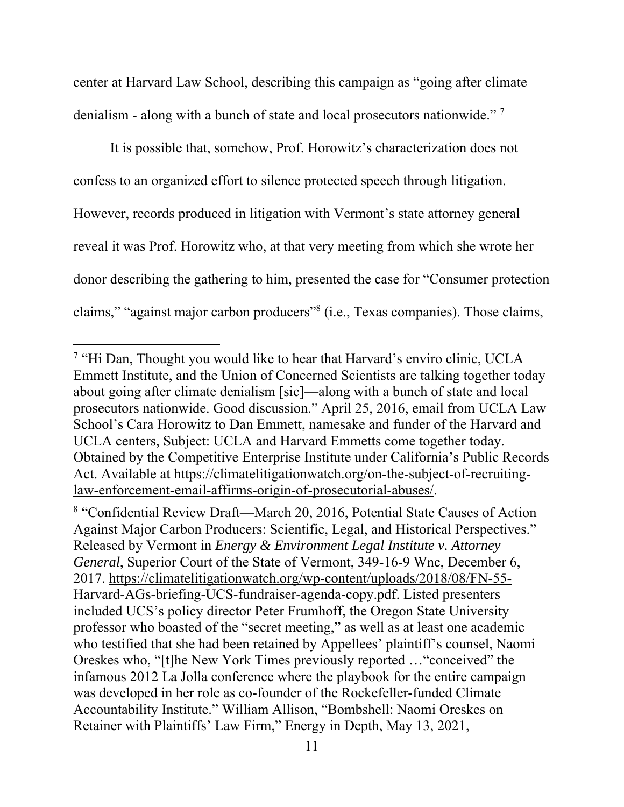center at Harvard Law School, describing this campaign as "going after climate denialism - along with a bunch of state and local prosecutors nationwide."<sup>7</sup>

It is possible that, somehow, Prof. Horowitz's characterization does not confess to an organized effort to silence protected speech through litigation. However, records produced in litigation with Vermont's state attorney general reveal it was Prof. Horowitz who, at that very meeting from which she wrote her donor describing the gathering to him, presented the case for "Consumer protection claims," "against major carbon producers"8 (i.e., Texas companies). Those claims,

<sup>8</sup> "Confidential Review Draft—March 20, 2016, Potential State Causes of Action Against Major Carbon Producers: Scientific, Legal, and Historical Perspectives." Released by Vermont in *Energy & Environment Legal Institute v. Attorney General*, Superior Court of the State of Vermont, 349-16-9 Wnc, December 6, 2017. https://climatelitigationwatch.org/wp-content/uploads/2018/08/FN-55- Harvard-AGs-briefing-UCS-fundraiser-agenda-copy.pdf. Listed presenters included UCS's policy director Peter Frumhoff, the Oregon State University professor who boasted of the "secret meeting," as well as at least one academic who testified that she had been retained by Appellees' plaintiff's counsel, Naomi Oreskes who, "[t]he New York Times previously reported …"conceived" the infamous 2012 La Jolla conference where the playbook for the entire campaign was developed in her role as co-founder of the Rockefeller-funded Climate Accountability Institute." William Allison, "Bombshell: Naomi Oreskes on Retainer with Plaintiffs' Law Firm," Energy in Depth, May 13, 2021,

<sup>&</sup>lt;sup>7</sup> "Hi Dan, Thought you would like to hear that Harvard's enviro clinic, UCLA Emmett Institute, and the Union of Concerned Scientists are talking together today about going after climate denialism [sic]—along with a bunch of state and local prosecutors nationwide. Good discussion." April 25, 2016, email from UCLA Law School's Cara Horowitz to Dan Emmett, namesake and funder of the Harvard and UCLA centers, Subject: UCLA and Harvard Emmetts come together today. Obtained by the Competitive Enterprise Institute under California's Public Records Act. Available at https://climatelitigationwatch.org/on-the-subject-of-recruitinglaw-enforcement-email-affirms-origin-of-prosecutorial-abuses/.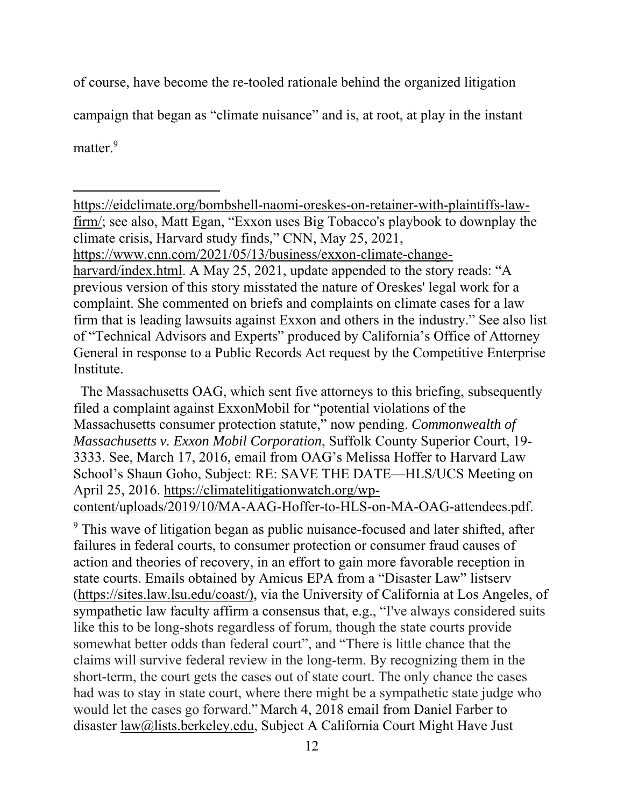of course, have become the re-tooled rationale behind the organized litigation campaign that began as "climate nuisance" and is, at root, at play in the instant

matter.<sup>9</sup>

https://eidclimate.org/bombshell-naomi-oreskes-on-retainer-with-plaintiffs-lawfirm/; see also, Matt Egan, "Exxon uses Big Tobacco's playbook to downplay the climate crisis, Harvard study finds," CNN, May 25, 2021, https://www.cnn.com/2021/05/13/business/exxon-climate-changeharvard/index.html. A May 25, 2021, update appended to the story reads: "A previous version of this story misstated the nature of Oreskes' legal work for a complaint. She commented on briefs and complaints on climate cases for a law firm that is leading lawsuits against Exxon and others in the industry." See also list of "Technical Advisors and Experts" produced by California's Office of Attorney General in response to a Public Records Act request by the Competitive Enterprise **Institute** 

 The Massachusetts OAG, which sent five attorneys to this briefing, subsequently filed a complaint against ExxonMobil for "potential violations of the Massachusetts consumer protection statute," now pending. *Commonwealth of Massachusetts v. Exxon Mobil Corporation*, Suffolk County Superior Court, 19- 3333. See, March 17, 2016, email from OAG's Melissa Hoffer to Harvard Law School's Shaun Goho, Subject: RE: SAVE THE DATE—HLS/UCS Meeting on April 25, 2016. https://climatelitigationwatch.org/wp-

content/uploads/2019/10/MA-AAG-Hoffer-to-HLS-on-MA-OAG-attendees.pdf.

<sup>9</sup> This wave of litigation began as public nuisance-focused and later shifted, after failures in federal courts, to consumer protection or consumer fraud causes of action and theories of recovery, in an effort to gain more favorable reception in state courts. Emails obtained by Amicus EPA from a "Disaster Law" listserv (https://sites.law.lsu.edu/coast/), via the University of California at Los Angeles, of sympathetic law faculty affirm a consensus that, e.g., "I've always considered suits like this to be long-shots regardless of forum, though the state courts provide somewhat better odds than federal court", and "There is little chance that the claims will survive federal review in the long-term. By recognizing them in the short-term, the court gets the cases out of state court. The only chance the cases had was to stay in state court, where there might be a sympathetic state judge who would let the cases go forward." March 4, 2018 email from Daniel Farber to disaster law@lists.berkeley.edu, Subject A California Court Might Have Just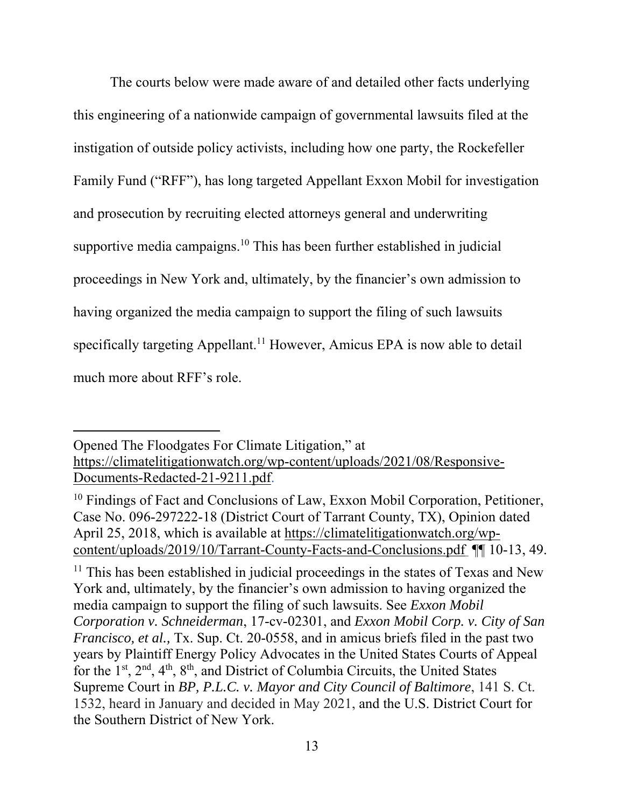The courts below were made aware of and detailed other facts underlying this engineering of a nationwide campaign of governmental lawsuits filed at the instigation of outside policy activists, including how one party, the Rockefeller Family Fund ("RFF"), has long targeted Appellant Exxon Mobil for investigation and prosecution by recruiting elected attorneys general and underwriting supportive media campaigns.<sup>10</sup> This has been further established in judicial proceedings in New York and, ultimately, by the financier's own admission to having organized the media campaign to support the filing of such lawsuits specifically targeting Appellant.<sup>11</sup> However, Amicus EPA is now able to detail much more about RFF's role.

Opened The Floodgates For Climate Litigation," at https://climatelitigationwatch.org/wp-content/uploads/2021/08/Responsive-Documents-Redacted-21-9211.pdf.

<sup>10</sup> Findings of Fact and Conclusions of Law, Exxon Mobil Corporation, Petitioner, Case No. 096-297222-18 (District Court of Tarrant County, TX), Opinion dated April 25, 2018, which is available at https://climatelitigationwatch.org/wpcontent/uploads/2019/10/Tarrant-County-Facts-and-Conclusions.pdf ¶¶ 10-13, 49.

 $11$  This has been established in judicial proceedings in the states of Texas and New York and, ultimately, by the financier's own admission to having organized the media campaign to support the filing of such lawsuits. See *Exxon Mobil Corporation v. Schneiderman*, 17-cv-02301, and *Exxon Mobil Corp. v. City of San Francisco, et al.,* Tx. Sup. Ct. 20-0558, and in amicus briefs filed in the past two years by Plaintiff Energy Policy Advocates in the United States Courts of Appeal for the 1st, 2nd, 4th, 8th, and District of Columbia Circuits, the United States Supreme Court in *BP, P.L.C. v. Mayor and City Council of Baltimore*, 141 S. Ct. 1532, heard in January and decided in May 2021, and the U.S. District Court for the Southern District of New York.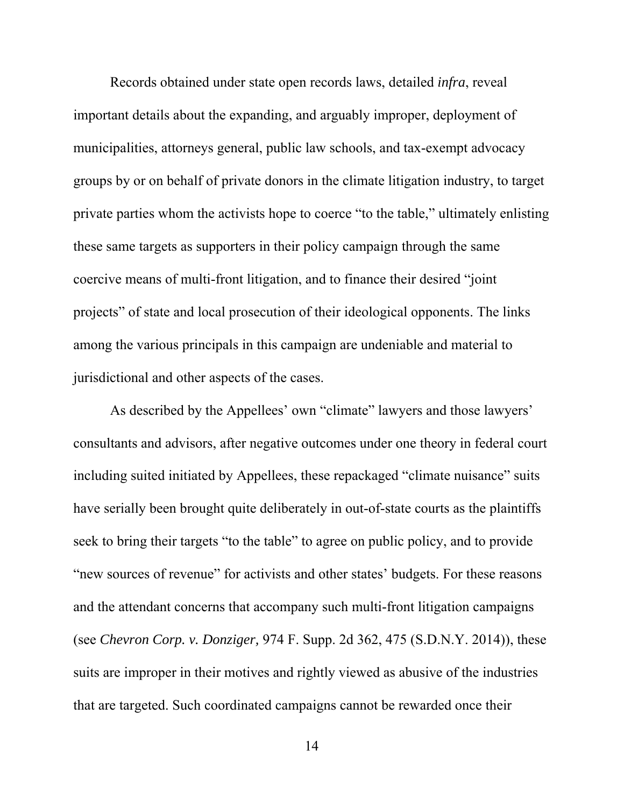Records obtained under state open records laws, detailed *infra*, reveal important details about the expanding, and arguably improper, deployment of municipalities, attorneys general, public law schools, and tax-exempt advocacy groups by or on behalf of private donors in the climate litigation industry, to target private parties whom the activists hope to coerce "to the table," ultimately enlisting these same targets as supporters in their policy campaign through the same coercive means of multi-front litigation, and to finance their desired "joint projects" of state and local prosecution of their ideological opponents. The links among the various principals in this campaign are undeniable and material to jurisdictional and other aspects of the cases.

As described by the Appellees' own "climate" lawyers and those lawyers' consultants and advisors, after negative outcomes under one theory in federal court including suited initiated by Appellees, these repackaged "climate nuisance" suits have serially been brought quite deliberately in out-of-state courts as the plaintiffs seek to bring their targets "to the table" to agree on public policy, and to provide "new sources of revenue" for activists and other states' budgets. For these reasons and the attendant concerns that accompany such multi-front litigation campaigns (see *Chevron Corp. v. Donziger,* 974 F. Supp. 2d 362, 475 (S.D.N.Y. 2014)), these suits are improper in their motives and rightly viewed as abusive of the industries that are targeted. Such coordinated campaigns cannot be rewarded once their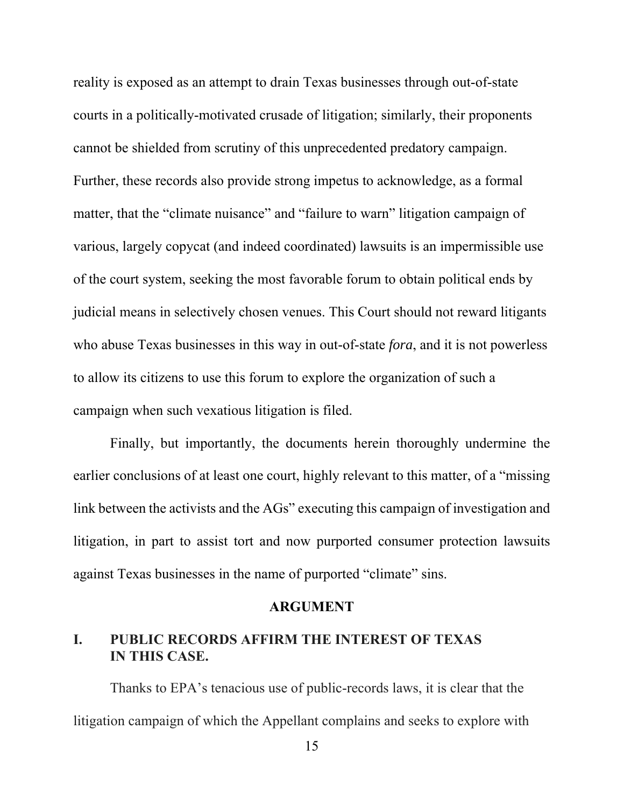reality is exposed as an attempt to drain Texas businesses through out-of-state courts in a politically-motivated crusade of litigation; similarly, their proponents cannot be shielded from scrutiny of this unprecedented predatory campaign. Further, these records also provide strong impetus to acknowledge, as a formal matter, that the "climate nuisance" and "failure to warn" litigation campaign of various, largely copycat (and indeed coordinated) lawsuits is an impermissible use of the court system, seeking the most favorable forum to obtain political ends by judicial means in selectively chosen venues. This Court should not reward litigants who abuse Texas businesses in this way in out-of-state *fora*, and it is not powerless to allow its citizens to use this forum to explore the organization of such a campaign when such vexatious litigation is filed.

Finally, but importantly, the documents herein thoroughly undermine the earlier conclusions of at least one court, highly relevant to this matter, of a "missing link between the activists and the AGs" executing this campaign of investigation and litigation, in part to assist tort and now purported consumer protection lawsuits against Texas businesses in the name of purported "climate" sins.

#### **ARGUMENT**

# **I. PUBLIC RECORDS AFFIRM THE INTEREST OF TEXAS IN THIS CASE.**

 Thanks to EPA's tenacious use of public-records laws, it is clear that the litigation campaign of which the Appellant complains and seeks to explore with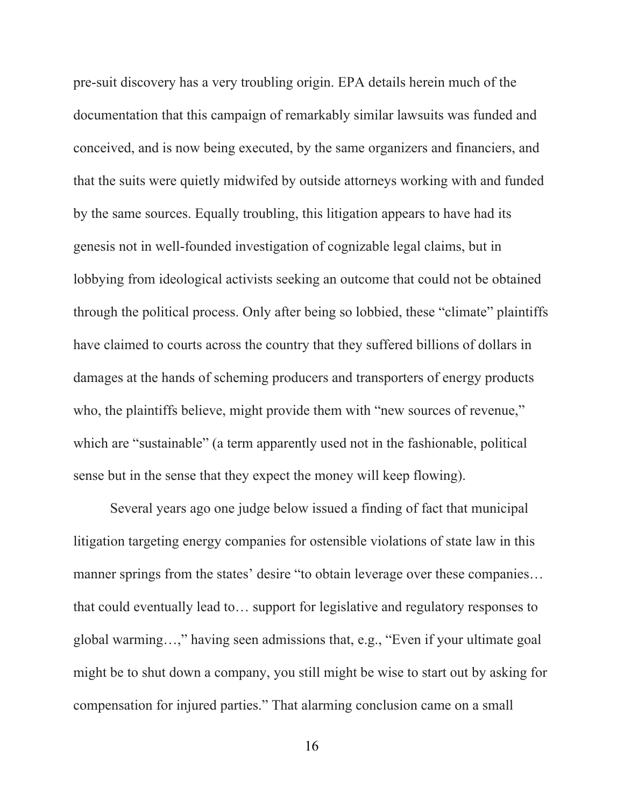pre-suit discovery has a very troubling origin. EPA details herein much of the documentation that this campaign of remarkably similar lawsuits was funded and conceived, and is now being executed, by the same organizers and financiers, and that the suits were quietly midwifed by outside attorneys working with and funded by the same sources. Equally troubling, this litigation appears to have had its genesis not in well-founded investigation of cognizable legal claims, but in lobbying from ideological activists seeking an outcome that could not be obtained through the political process. Only after being so lobbied, these "climate" plaintiffs have claimed to courts across the country that they suffered billions of dollars in damages at the hands of scheming producers and transporters of energy products who, the plaintiffs believe, might provide them with "new sources of revenue," which are "sustainable" (a term apparently used not in the fashionable, political sense but in the sense that they expect the money will keep flowing).

Several years ago one judge below issued a finding of fact that municipal litigation targeting energy companies for ostensible violations of state law in this manner springs from the states' desire "to obtain leverage over these companies... that could eventually lead to… support for legislative and regulatory responses to global warming…," having seen admissions that, e.g., "Even if your ultimate goal might be to shut down a company, you still might be wise to start out by asking for compensation for injured parties." That alarming conclusion came on a small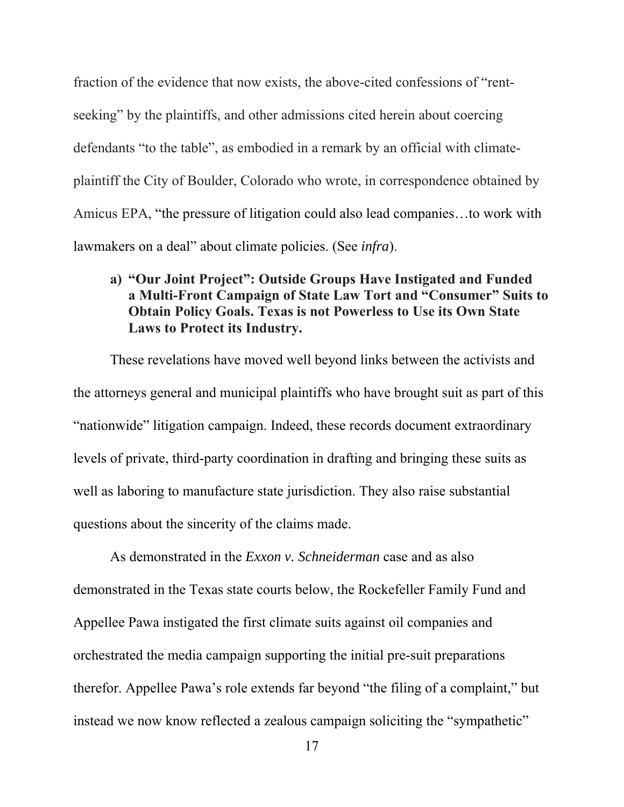fraction of the evidence that now exists, the above-cited confessions of "rentseeking" by the plaintiffs, and other admissions cited herein about coercing defendants "to the table", as embodied in a remark by an official with climateplaintiff the City of Boulder, Colorado who wrote, in correspondence obtained by Amicus EPA, "the pressure of litigation could also lead companies…to work with lawmakers on a deal" about climate policies. (See *infra*).

# **a) "Our Joint Project": Outside Groups Have Instigated and Funded a Multi-Front Campaign of State Law Tort and "Consumer" Suits to Obtain Policy Goals. Texas is not Powerless to Use its Own State Laws to Protect its Industry.**

These revelations have moved well beyond links between the activists and the attorneys general and municipal plaintiffs who have brought suit as part of this "nationwide" litigation campaign. Indeed, these records document extraordinary levels of private, third-party coordination in drafting and bringing these suits as well as laboring to manufacture state jurisdiction. They also raise substantial questions about the sincerity of the claims made.

As demonstrated in the *Exxon v. Schneiderman* case and as also demonstrated in the Texas state courts below, the Rockefeller Family Fund and Appellee Pawa instigated the first climate suits against oil companies and orchestrated the media campaign supporting the initial pre-suit preparations therefor. Appellee Pawa's role extends far beyond "the filing of a complaint," but instead we now know reflected a zealous campaign soliciting the "sympathetic"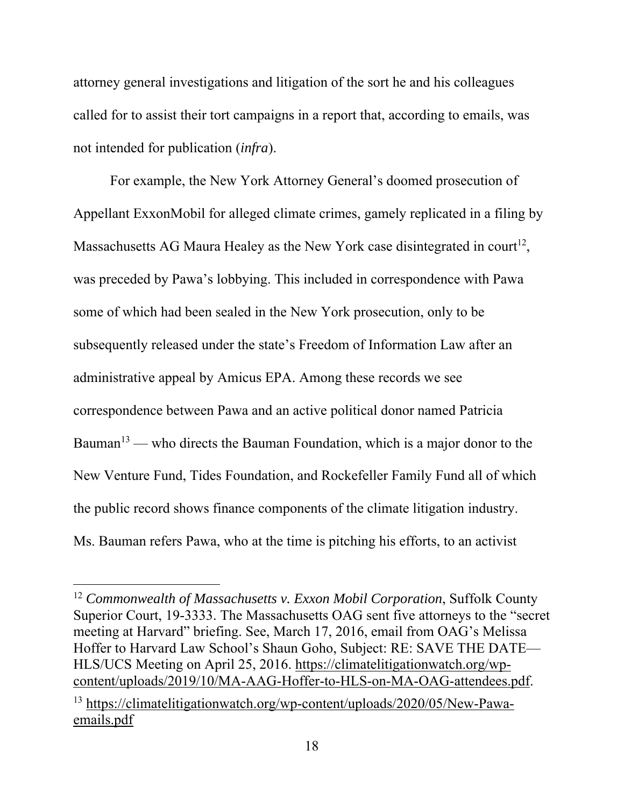attorney general investigations and litigation of the sort he and his colleagues called for to assist their tort campaigns in a report that, according to emails, was not intended for publication (*infra*).

For example, the New York Attorney General's doomed prosecution of Appellant ExxonMobil for alleged climate crimes, gamely replicated in a filing by Massachusetts AG Maura Healey as the New York case disintegrated in court<sup>12</sup>, was preceded by Pawa's lobbying. This included in correspondence with Pawa some of which had been sealed in the New York prosecution, only to be subsequently released under the state's Freedom of Information Law after an administrative appeal by Amicus EPA. Among these records we see correspondence between Pawa and an active political donor named Patricia Bauman<sup>13</sup> — who directs the Bauman Foundation, which is a major donor to the New Venture Fund, Tides Foundation, and Rockefeller Family Fund all of which the public record shows finance components of the climate litigation industry. Ms. Bauman refers Pawa, who at the time is pitching his efforts, to an activist

<sup>12</sup> *Commonwealth of Massachusetts v. Exxon Mobil Corporation*, Suffolk County Superior Court, 19-3333. The Massachusetts OAG sent five attorneys to the "secret meeting at Harvard" briefing. See, March 17, 2016, email from OAG's Melissa Hoffer to Harvard Law School's Shaun Goho, Subject: RE: SAVE THE DATE— HLS/UCS Meeting on April 25, 2016. https://climatelitigationwatch.org/wpcontent/uploads/2019/10/MA-AAG-Hoffer-to-HLS-on-MA-OAG-attendees.pdf. 13 https://climatelitigationwatch.org/wp-content/uploads/2020/05/New-Pawaemails.pdf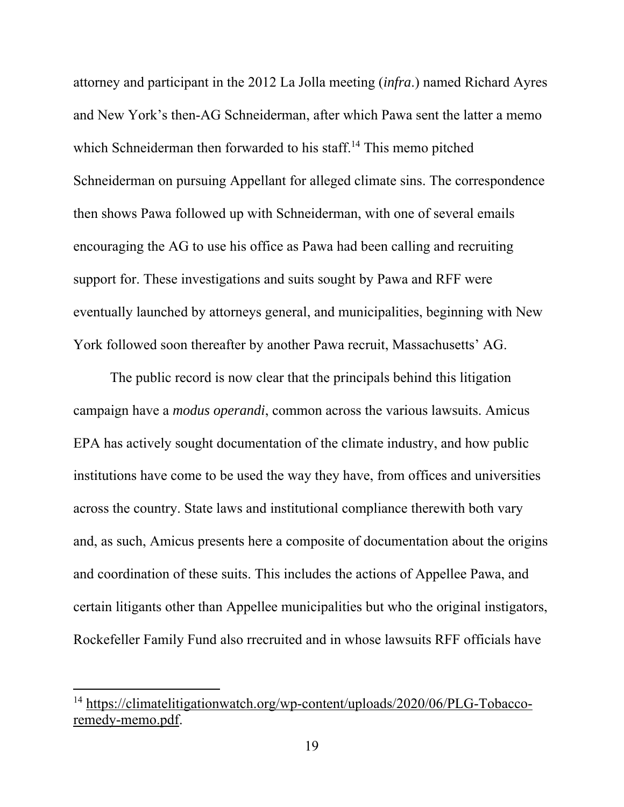attorney and participant in the 2012 La Jolla meeting (*infra*.) named Richard Ayres and New York's then-AG Schneiderman, after which Pawa sent the latter a memo which Schneiderman then forwarded to his staff.<sup>14</sup> This memo pitched Schneiderman on pursuing Appellant for alleged climate sins. The correspondence then shows Pawa followed up with Schneiderman, with one of several emails encouraging the AG to use his office as Pawa had been calling and recruiting support for. These investigations and suits sought by Pawa and RFF were eventually launched by attorneys general, and municipalities, beginning with New York followed soon thereafter by another Pawa recruit, Massachusetts' AG.

The public record is now clear that the principals behind this litigation campaign have a *modus operandi*, common across the various lawsuits. Amicus EPA has actively sought documentation of the climate industry, and how public institutions have come to be used the way they have, from offices and universities across the country. State laws and institutional compliance therewith both vary and, as such, Amicus presents here a composite of documentation about the origins and coordination of these suits. This includes the actions of Appellee Pawa, and certain litigants other than Appellee municipalities but who the original instigators, Rockefeller Family Fund also rrecruited and in whose lawsuits RFF officials have

<sup>14</sup> https://climatelitigationwatch.org/wp-content/uploads/2020/06/PLG-Tobaccoremedy-memo.pdf.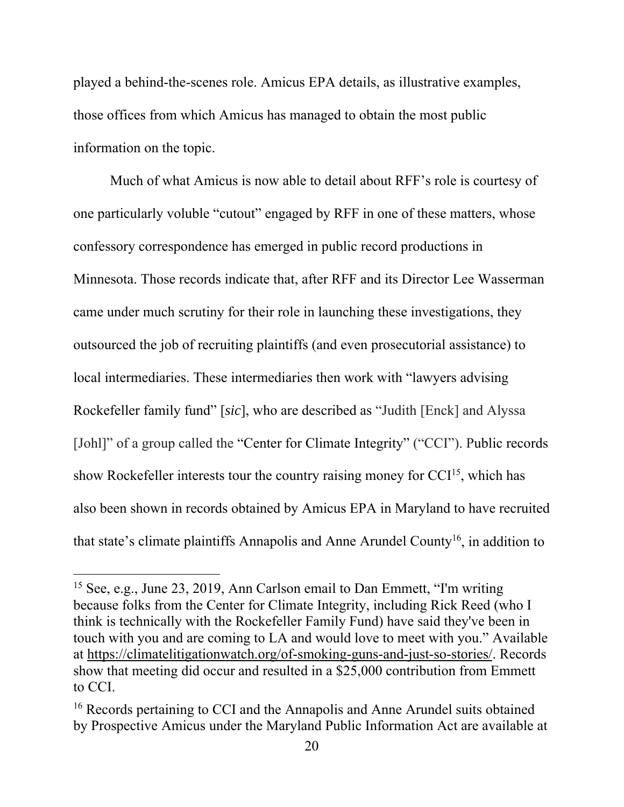played a behind-the-scenes role. Amicus EPA details, as illustrative examples, those offices from which Amicus has managed to obtain the most public information on the topic.

Much of what Amicus is now able to detail about RFF's role is courtesy of one particularly voluble "cutout" engaged by RFF in one of these matters, whose confessory correspondence has emerged in public record productions in Minnesota. Those records indicate that, after RFF and its Director Lee Wasserman came under much scrutiny for their role in launching these investigations, they outsourced the job of recruiting plaintiffs (and even prosecutorial assistance) to local intermediaries. These intermediaries then work with "lawyers advising Rockefeller family fund" [*sic*], who are described as "Judith [Enck] and Alyssa [Johl]" of a group called the "Center for Climate Integrity" ("CCI"). Public records show Rockefeller interests tour the country raising money for  $CCI<sup>15</sup>$ , which has also been shown in records obtained by Amicus EPA in Maryland to have recruited that state's climate plaintiffs Annapolis and Anne Arundel County<sup>16</sup>, in addition to

<sup>15</sup> See, e.g., June 23, 2019, Ann Carlson email to Dan Emmett, "I'm writing because folks from the Center for Climate Integrity, including Rick Reed (who I think is technically with the Rockefeller Family Fund) have said they've been in touch with you and are coming to LA and would love to meet with you." Available at https://climatelitigationwatch.org/of-smoking-guns-and-just-so-stories/. Records show that meeting did occur and resulted in a \$25,000 contribution from Emmett to CCI.

<sup>&</sup>lt;sup>16</sup> Records pertaining to CCI and the Annapolis and Anne Arundel suits obtained by Prospective Amicus under the Maryland Public Information Act are available at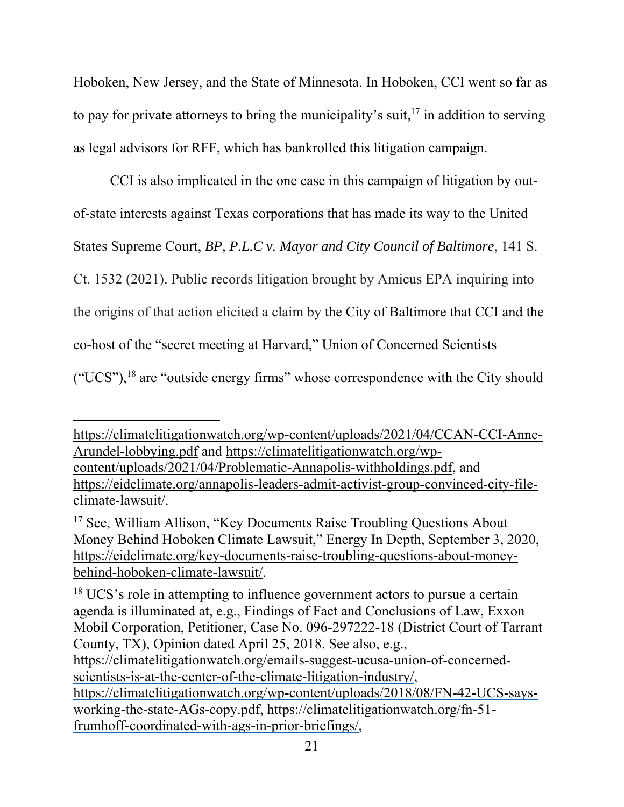Hoboken, New Jersey, and the State of Minnesota. In Hoboken, CCI went so far as to pay for private attorneys to bring the municipality's suit,  $17$  in addition to serving as legal advisors for RFF, which has bankrolled this litigation campaign.

 CCI is also implicated in the one case in this campaign of litigation by outof-state interests against Texas corporations that has made its way to the United States Supreme Court, *BP, P.L.C v. Mayor and City Council of Baltimore*, 141 S. Ct. 1532 (2021). Public records litigation brought by Amicus EPA inquiring into the origins of that action elicited a claim by the City of Baltimore that CCI and the co-host of the "secret meeting at Harvard," Union of Concerned Scientists ("UCS"), $^{18}$  are "outside energy firms" whose correspondence with the City should

<sup>18</sup> UCS's role in attempting to influence government actors to pursue a certain agenda is illuminated at, e.g., Findings of Fact and Conclusions of Law, Exxon Mobil Corporation, Petitioner, Case No. 096-297222-18 (District Court of Tarrant County, TX), Opinion dated April 25, 2018. See also, e.g., https://climatelitigationwatch.org/emails-suggest-ucusa-union-of-concernedscientists-is-at-the-center-of-the-climate-litigation-industry/, https://climatelitigationwatch.org/wp-content/uploads/2018/08/FN-42-UCS-saysworking-the-state-AGs-copy.pdf, https://climatelitigationwatch.org/fn-51 frumhoff-coordinated-with-ags-in-prior-briefings/,

https://climatelitigationwatch.org/wp-content/uploads/2021/04/CCAN-CCI-Anne-Arundel-lobbying.pdf and https://climatelitigationwatch.org/wpcontent/uploads/2021/04/Problematic-Annapolis-withholdings.pdf, and https://eidclimate.org/annapolis-leaders-admit-activist-group-convinced-city-fileclimate-lawsuit/.

<sup>17</sup> See, William Allison, "Key Documents Raise Troubling Questions About Money Behind Hoboken Climate Lawsuit," Energy In Depth, September 3, 2020, https://eidclimate.org/key-documents-raise-troubling-questions-about-moneybehind-hoboken-climate-lawsuit/.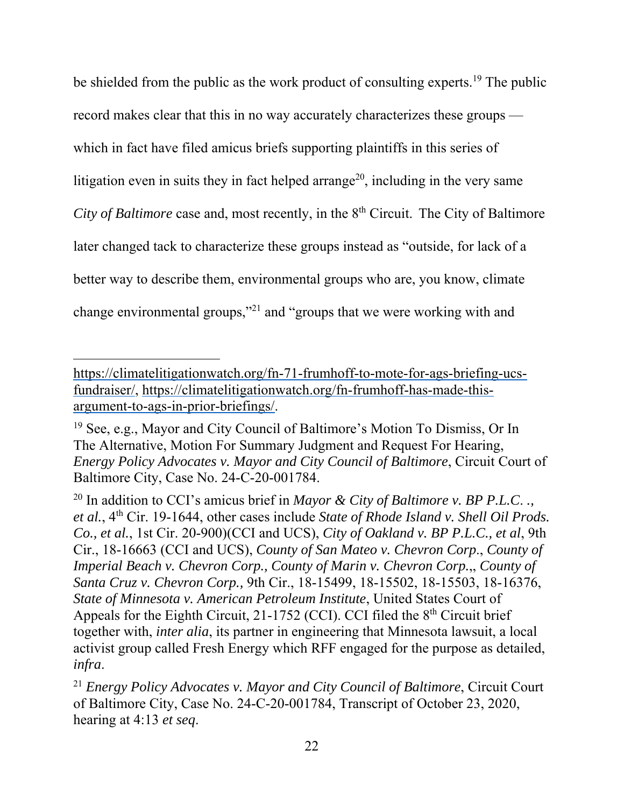be shielded from the public as the work product of consulting experts.<sup>19</sup> The public record makes clear that this in no way accurately characterizes these groups which in fact have filed amicus briefs supporting plaintiffs in this series of litigation even in suits they in fact helped arrange<sup>20</sup>, including in the very same *City of Baltimore* case and, most recently, in the 8<sup>th</sup> Circuit. The City of Baltimore later changed tack to characterize these groups instead as "outside, for lack of a better way to describe them, environmental groups who are, you know, climate change environmental groups,"21 and "groups that we were working with and

https://climatelitigationwatch.org/fn-71-frumhoff-to-mote-for-ags-briefing-ucsfundraiser/, https://climatelitigationwatch.org/fn-frumhoff-has-made-thisargument-to-ags-in-prior-briefings/.

<sup>19</sup> See, e.g., Mayor and City Council of Baltimore's Motion To Dismiss, Or In The Alternative, Motion For Summary Judgment and Request For Hearing, *Energy Policy Advocates v. Mayor and City Council of Baltimore*, Circuit Court of Baltimore City, Case No. 24-C-20-001784.

<sup>20</sup> In addition to CCI's amicus brief in *Mayor & City of Baltimore v. BP P.L.C*. *., et al.*, 4th Cir. 19-1644, other cases include *State of Rhode Island v. Shell Oil Prods. Co., et al.*, 1st Cir. 20-900)(CCI and UCS), *City of Oakland v. BP P.L.C., et al*, 9th Cir., 18-16663 (CCI and UCS), *County of San Mateo v. Chevron Corp*., *County of Imperial Beach v. Chevron Corp., County of Marin v. Chevron Corp.*,, *County of Santa Cruz v. Chevron Corp.,* 9th Cir., 18-15499, 18-15502, 18-15503, 18-16376, *State of Minnesota v. American Petroleum Institute*, United States Court of Appeals for the Eighth Circuit,  $21-1752$  (CCI). CCI filed the  $8<sup>th</sup>$  Circuit brief together with, *inter alia*, its partner in engineering that Minnesota lawsuit, a local activist group called Fresh Energy which RFF engaged for the purpose as detailed, *infra*.

<sup>21</sup> *Energy Policy Advocates v. Mayor and City Council of Baltimore*, Circuit Court of Baltimore City, Case No. 24-C-20-001784, Transcript of October 23, 2020, hearing at 4:13 *et seq*.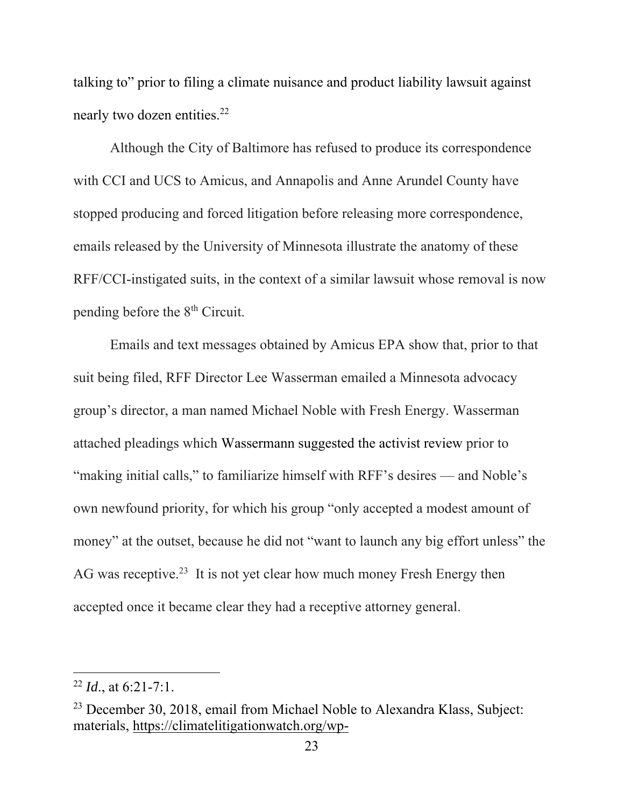talking to" prior to filing a climate nuisance and product liability lawsuit against nearly two dozen entities.<sup>22</sup>

 Although the City of Baltimore has refused to produce its correspondence with CCI and UCS to Amicus, and Annapolis and Anne Arundel County have stopped producing and forced litigation before releasing more correspondence, emails released by the University of Minnesota illustrate the anatomy of these RFF/CCI-instigated suits, in the context of a similar lawsuit whose removal is now pending before the 8th Circuit.

Emails and text messages obtained by Amicus EPA show that, prior to that suit being filed, RFF Director Lee Wasserman emailed a Minnesota advocacy group's director, a man named Michael Noble with Fresh Energy. Wasserman attached pleadings which Wassermann suggested the activist review prior to "making initial calls," to familiarize himself with RFF's desires — and Noble's own newfound priority, for which his group "only accepted a modest amount of money" at the outset, because he did not "want to launch any big effort unless" the AG was receptive.<sup>23</sup> It is not yet clear how much money Fresh Energy then accepted once it became clear they had a receptive attorney general.

<sup>22</sup> *Id*., at 6:21-7:1.

<sup>&</sup>lt;sup>23</sup> December 30, 2018, email from Michael Noble to Alexandra Klass, Subject: materials, https://climatelitigationwatch.org/wp-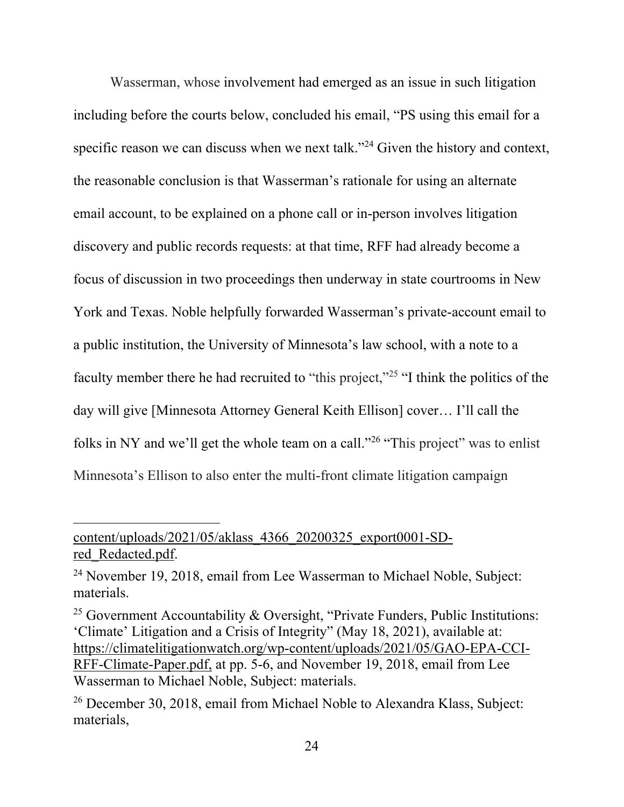Wasserman, whose involvement had emerged as an issue in such litigation including before the courts below, concluded his email, "PS using this email for a specific reason we can discuss when we next talk."24 Given the history and context, the reasonable conclusion is that Wasserman's rationale for using an alternate email account, to be explained on a phone call or in-person involves litigation discovery and public records requests: at that time, RFF had already become a focus of discussion in two proceedings then underway in state courtrooms in New York and Texas. Noble helpfully forwarded Wasserman's private-account email to a public institution, the University of Minnesota's law school, with a note to a faculty member there he had recruited to "this project,"<sup>25</sup> "I think the politics of the day will give [Minnesota Attorney General Keith Ellison] cover… I'll call the folks in NY and we'll get the whole team on a call."26 "This project" was to enlist Minnesota's Ellison to also enter the multi-front climate litigation campaign

# content/uploads/2021/05/aklass\_4366\_20200325\_export0001-SDred Redacted.pdf.

<sup>&</sup>lt;sup>24</sup> November 19, 2018, email from Lee Wasserman to Michael Noble, Subject: materials.

<sup>&</sup>lt;sup>25</sup> Government Accountability & Oversight, "Private Funders, Public Institutions: 'Climate' Litigation and a Crisis of Integrity" (May 18, 2021), available at: https://climatelitigationwatch.org/wp-content/uploads/2021/05/GAO-EPA-CCI-RFF-Climate-Paper.pdf, at pp. 5-6, and November 19, 2018, email from Lee Wasserman to Michael Noble, Subject: materials.

<sup>26</sup> December 30, 2018, email from Michael Noble to Alexandra Klass, Subject: materials,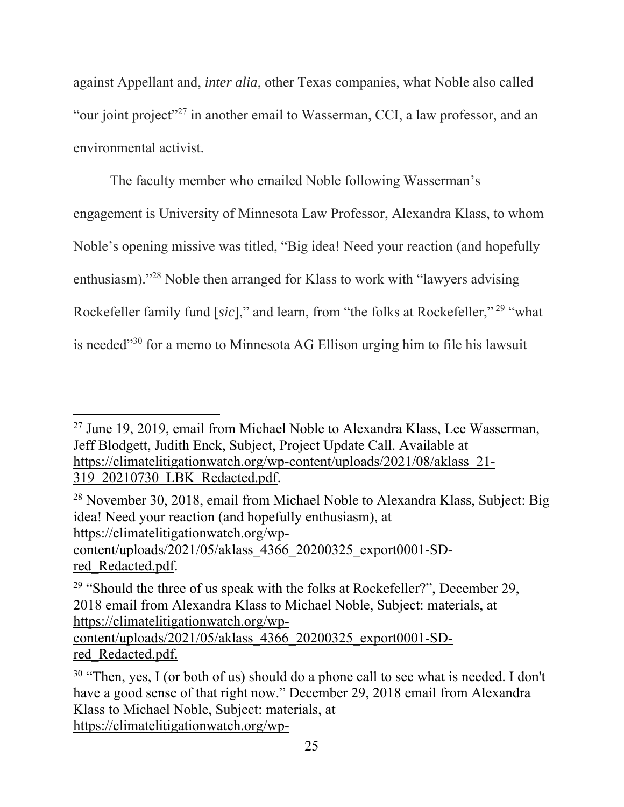against Appellant and, *inter alia*, other Texas companies, what Noble also called "our joint project"27 in another email to Wasserman, CCI, a law professor, and an environmental activist.

The faculty member who emailed Noble following Wasserman's engagement is University of Minnesota Law Professor, Alexandra Klass, to whom Noble's opening missive was titled, "Big idea! Need your reaction (and hopefully enthusiasm)."28 Noble then arranged for Klass to work with "lawyers advising Rockefeller family fund [*sic*]," and learn, from "the folks at Rockefeller," 29 "what is needed"30 for a memo to Minnesota AG Ellison urging him to file his lawsuit

content/uploads/2021/05/aklass\_4366\_20200325\_export0001-SDred\_Redacted.pdf.

 $27$  June 19, 2019, email from Michael Noble to Alexandra Klass, Lee Wasserman, Jeff Blodgett, Judith Enck, Subject, Project Update Call. Available at https://climatelitigationwatch.org/wp-content/uploads/2021/08/aklass\_21- 319\_20210730\_LBK\_Redacted.pdf.

<sup>28</sup> November 30, 2018, email from Michael Noble to Alexandra Klass, Subject: Big idea! Need your reaction (and hopefully enthusiasm), at https://climatelitigationwatch.org/wp-

<sup>&</sup>lt;sup>29</sup> "Should the three of us speak with the folks at Rockefeller?", December 29, 2018 email from Alexandra Klass to Michael Noble, Subject: materials, at https://climatelitigationwatch.org/wpcontent/uploads/2021/05/aklass\_4366\_20200325\_export0001-SDred\_Redacted.pdf.

 $30$  "Then, yes, I (or both of us) should do a phone call to see what is needed. I don't have a good sense of that right now." December 29, 2018 email from Alexandra Klass to Michael Noble, Subject: materials, at https://climatelitigationwatch.org/wp-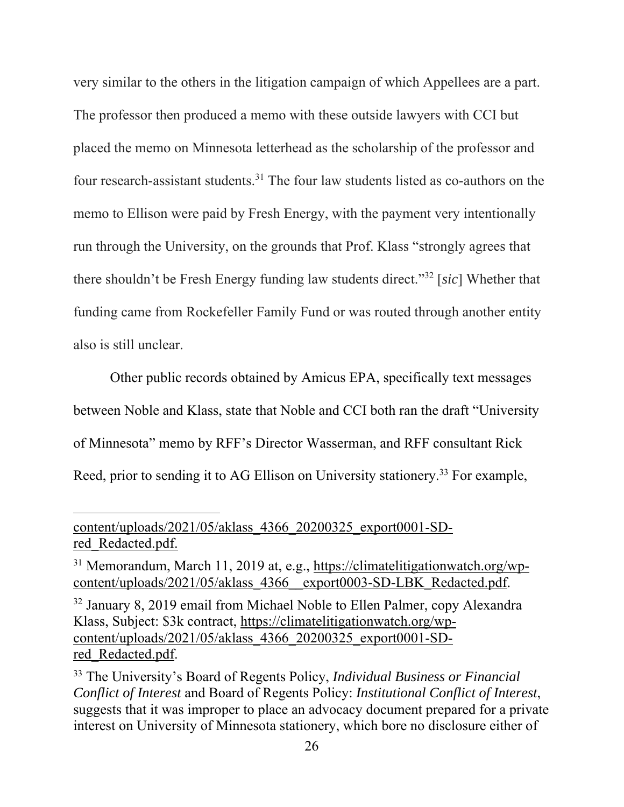very similar to the others in the litigation campaign of which Appellees are a part. The professor then produced a memo with these outside lawyers with CCI but placed the memo on Minnesota letterhead as the scholarship of the professor and four research-assistant students.31 The four law students listed as co-authors on the memo to Ellison were paid by Fresh Energy, with the payment very intentionally run through the University, on the grounds that Prof. Klass "strongly agrees that there shouldn't be Fresh Energy funding law students direct."32 [*sic*] Whether that funding came from Rockefeller Family Fund or was routed through another entity also is still unclear.

Other public records obtained by Amicus EPA, specifically text messages between Noble and Klass, state that Noble and CCI both ran the draft "University of Minnesota" memo by RFF's Director Wasserman, and RFF consultant Rick Reed, prior to sending it to AG Ellison on University stationery.<sup>33</sup> For example,

content/uploads/2021/05/aklass\_4366\_20200325\_export0001-SDred\_Redacted.pdf.

<sup>&</sup>lt;sup>31</sup> Memorandum, March 11, 2019 at, e.g., https://climatelitigationwatch.org/wpcontent/uploads/2021/05/aklass 4366\_export0003-SD-LBK\_Redacted.pdf.

<sup>&</sup>lt;sup>32</sup> January 8, 2019 email from Michael Noble to Ellen Palmer, copy Alexandra Klass, Subject: \$3k contract, https://climatelitigationwatch.org/wpcontent/uploads/2021/05/aklass\_4366\_20200325\_export0001-SDred\_Redacted.pdf.

<sup>33</sup> The University's Board of Regents Policy, *Individual Business or Financial Conflict of Interest* and Board of Regents Policy: *Institutional Conflict of Interest*, suggests that it was improper to place an advocacy document prepared for a private interest on University of Minnesota stationery, which bore no disclosure either of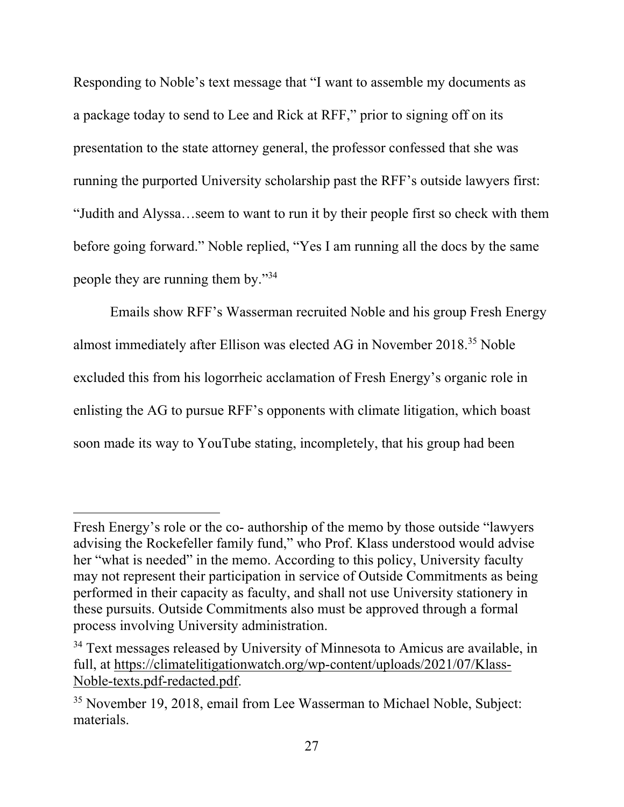Responding to Noble's text message that "I want to assemble my documents as a package today to send to Lee and Rick at RFF," prior to signing off on its presentation to the state attorney general, the professor confessed that she was running the purported University scholarship past the RFF's outside lawyers first: "Judith and Alyssa…seem to want to run it by their people first so check with them before going forward." Noble replied, "Yes I am running all the docs by the same people they are running them by."34

Emails show RFF's Wasserman recruited Noble and his group Fresh Energy almost immediately after Ellison was elected AG in November 2018.<sup>35</sup> Noble excluded this from his logorrheic acclamation of Fresh Energy's organic role in enlisting the AG to pursue RFF's opponents with climate litigation, which boast soon made its way to YouTube stating, incompletely, that his group had been

Fresh Energy's role or the co- authorship of the memo by those outside "lawyers advising the Rockefeller family fund," who Prof. Klass understood would advise her "what is needed" in the memo. According to this policy, University faculty may not represent their participation in service of Outside Commitments as being performed in their capacity as faculty, and shall not use University stationery in these pursuits. Outside Commitments also must be approved through a formal process involving University administration.

<sup>&</sup>lt;sup>34</sup> Text messages released by University of Minnesota to Amicus are available, in full, at https://climatelitigationwatch.org/wp-content/uploads/2021/07/Klass-Noble-texts.pdf-redacted.pdf.

<sup>35</sup> November 19, 2018, email from Lee Wasserman to Michael Noble, Subject: materials.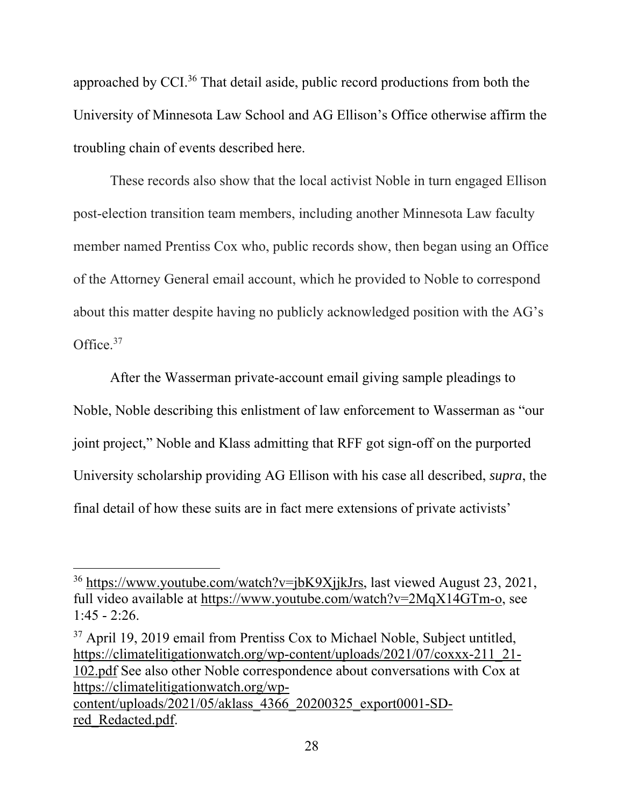approached by CCI.36 That detail aside, public record productions from both the University of Minnesota Law School and AG Ellison's Office otherwise affirm the troubling chain of events described here.

These records also show that the local activist Noble in turn engaged Ellison post-election transition team members, including another Minnesota Law faculty member named Prentiss Cox who, public records show, then began using an Office of the Attorney General email account, which he provided to Noble to correspond about this matter despite having no publicly acknowledged position with the AG's Office.<sup>37</sup>

After the Wasserman private-account email giving sample pleadings to Noble, Noble describing this enlistment of law enforcement to Wasserman as "our joint project," Noble and Klass admitting that RFF got sign-off on the purported University scholarship providing AG Ellison with his case all described, *supra*, the final detail of how these suits are in fact mere extensions of private activists'

<sup>36</sup> https://www.youtube.com/watch?v=jbK9XjjkJrs, last viewed August 23, 2021, full video available at https://www.youtube.com/watch?v=2MqX14GTm-o, see  $1:45 - 2:26$ .

<sup>&</sup>lt;sup>37</sup> April 19, 2019 email from Prentiss Cox to Michael Noble, Subject untitled, https://climatelitigationwatch.org/wp-content/uploads/2021/07/coxxx-211\_21- 102.pdf See also other Noble correspondence about conversations with Cox at https://climatelitigationwatch.org/wpcontent/uploads/2021/05/aklass\_4366\_20200325\_export0001-SDred\_Redacted.pdf.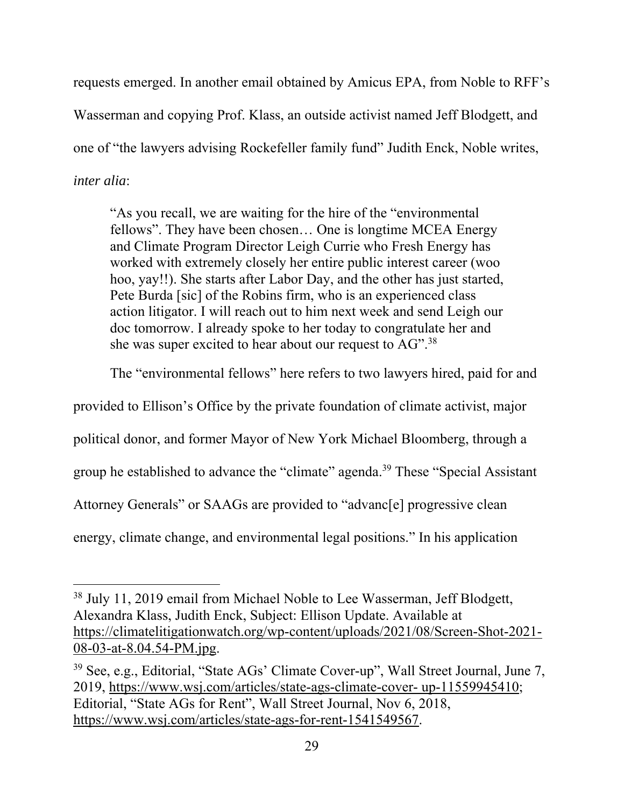requests emerged. In another email obtained by Amicus EPA, from Noble to RFF's Wasserman and copying Prof. Klass, an outside activist named Jeff Blodgett, and one of "the lawyers advising Rockefeller family fund" Judith Enck, Noble writes, *inter alia*:

"As you recall, we are waiting for the hire of the "environmental fellows". They have been chosen… One is longtime MCEA Energy and Climate Program Director Leigh Currie who Fresh Energy has worked with extremely closely her entire public interest career (woo hoo, yay!!). She starts after Labor Day, and the other has just started, Pete Burda [sic] of the Robins firm, who is an experienced class action litigator. I will reach out to him next week and send Leigh our doc tomorrow. I already spoke to her today to congratulate her and she was super excited to hear about our request to AG".38

The "environmental fellows" here refers to two lawyers hired, paid for and

provided to Ellison's Office by the private foundation of climate activist, major

political donor, and former Mayor of New York Michael Bloomberg, through a

group he established to advance the "climate" agenda.<sup>39</sup> These "Special Assistant

Attorney Generals" or SAAGs are provided to "advanc[e] progressive clean

energy, climate change, and environmental legal positions." In his application

<sup>&</sup>lt;sup>38</sup> July 11, 2019 email from Michael Noble to Lee Wasserman, Jeff Blodgett, Alexandra Klass, Judith Enck, Subject: Ellison Update. Available at https://climatelitigationwatch.org/wp-content/uploads/2021/08/Screen-Shot-2021- 08-03-at-8.04.54-PM.jpg.

<sup>39</sup> See, e.g., Editorial, "State AGs' Climate Cover-up", Wall Street Journal, June 7, 2019, https://www.wsj.com/articles/state-ags-climate-cover- up-11559945410; Editorial, "State AGs for Rent", Wall Street Journal, Nov 6, 2018, https://www.wsj.com/articles/state-ags-for-rent-1541549567.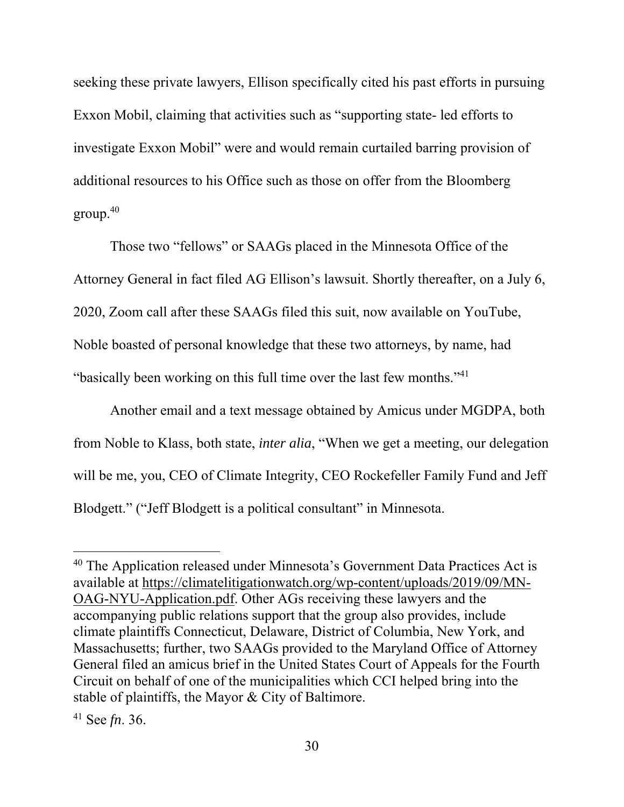seeking these private lawyers, Ellison specifically cited his past efforts in pursuing Exxon Mobil, claiming that activities such as "supporting state- led efforts to investigate Exxon Mobil" were and would remain curtailed barring provision of additional resources to his Office such as those on offer from the Bloomberg  $\text{group}^{\,40}$ 

Those two "fellows" or SAAGs placed in the Minnesota Office of the Attorney General in fact filed AG Ellison's lawsuit. Shortly thereafter, on a July 6, 2020, Zoom call after these SAAGs filed this suit, now available on YouTube, Noble boasted of personal knowledge that these two attorneys, by name, had "basically been working on this full time over the last few months."41

Another email and a text message obtained by Amicus under MGDPA, both from Noble to Klass, both state, *inter alia*, "When we get a meeting, our delegation will be me, you, CEO of Climate Integrity, CEO Rockefeller Family Fund and Jeff Blodgett." ("Jeff Blodgett is a political consultant" in Minnesota.

<sup>&</sup>lt;sup>40</sup> The Application released under Minnesota's Government Data Practices Act is available at https://climatelitigationwatch.org/wp-content/uploads/2019/09/MN-OAG-NYU-Application.pdf. Other AGs receiving these lawyers and the accompanying public relations support that the group also provides, include climate plaintiffs Connecticut, Delaware, District of Columbia, New York, and Massachusetts; further, two SAAGs provided to the Maryland Office of Attorney General filed an amicus brief in the United States Court of Appeals for the Fourth Circuit on behalf of one of the municipalities which CCI helped bring into the stable of plaintiffs, the Mayor & City of Baltimore.

<sup>41</sup> See *fn*. 36.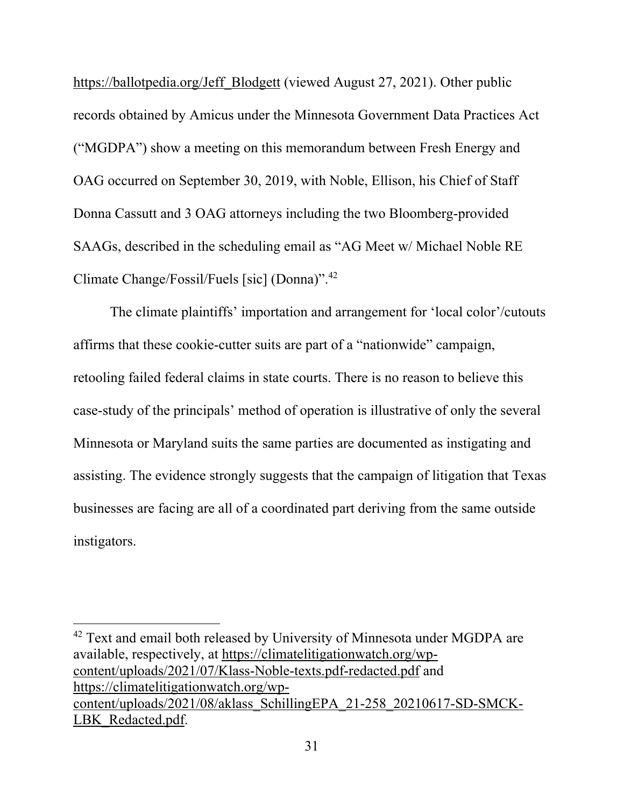https://ballotpedia.org/Jeff\_Blodgett (viewed August 27, 2021). Other public records obtained by Amicus under the Minnesota Government Data Practices Act ("MGDPA") show a meeting on this memorandum between Fresh Energy and OAG occurred on September 30, 2019, with Noble, Ellison, his Chief of Staff Donna Cassutt and 3 OAG attorneys including the two Bloomberg-provided SAAGs, described in the scheduling email as "AG Meet w/ Michael Noble RE Climate Change/Fossil/Fuels [sic] (Donna)".42

The climate plaintiffs' importation and arrangement for 'local color'/cutouts affirms that these cookie-cutter suits are part of a "nationwide" campaign, retooling failed federal claims in state courts. There is no reason to believe this case-study of the principals' method of operation is illustrative of only the several Minnesota or Maryland suits the same parties are documented as instigating and assisting. The evidence strongly suggests that the campaign of litigation that Texas businesses are facing are all of a coordinated part deriving from the same outside instigators.

<sup>42</sup> Text and email both released by University of Minnesota under MGDPA are available, respectively, at https://climatelitigationwatch.org/wpcontent/uploads/2021/07/Klass-Noble-texts.pdf-redacted.pdf and https://climatelitigationwatch.org/wpcontent/uploads/2021/08/aklass\_SchillingEPA\_21-258\_20210617-SD-SMCK-LBK Redacted.pdf.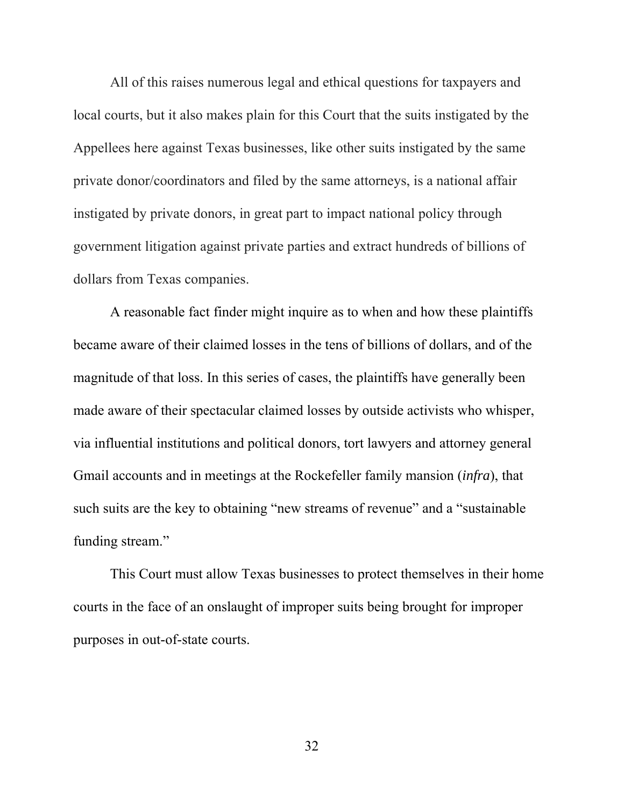All of this raises numerous legal and ethical questions for taxpayers and local courts, but it also makes plain for this Court that the suits instigated by the Appellees here against Texas businesses, like other suits instigated by the same private donor/coordinators and filed by the same attorneys, is a national affair instigated by private donors, in great part to impact national policy through government litigation against private parties and extract hundreds of billions of dollars from Texas companies.

 A reasonable fact finder might inquire as to when and how these plaintiffs became aware of their claimed losses in the tens of billions of dollars, and of the magnitude of that loss. In this series of cases, the plaintiffs have generally been made aware of their spectacular claimed losses by outside activists who whisper, via influential institutions and political donors, tort lawyers and attorney general Gmail accounts and in meetings at the Rockefeller family mansion (*infra*), that such suits are the key to obtaining "new streams of revenue" and a "sustainable funding stream."

 This Court must allow Texas businesses to protect themselves in their home courts in the face of an onslaught of improper suits being brought for improper purposes in out-of-state courts.

32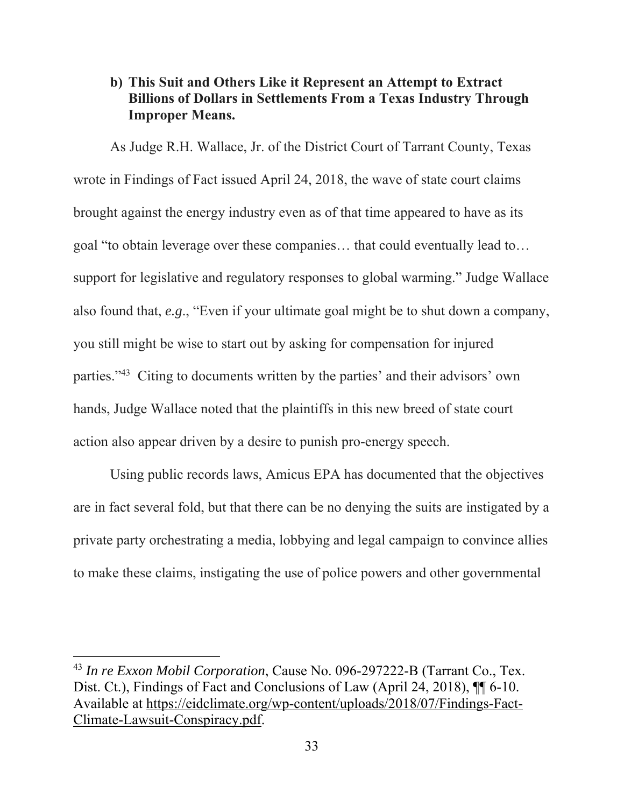# **b) This Suit and Others Like it Represent an Attempt to Extract Billions of Dollars in Settlements From a Texas Industry Through Improper Means.**

As Judge R.H. Wallace, Jr. of the District Court of Tarrant County, Texas wrote in Findings of Fact issued April 24, 2018, the wave of state court claims brought against the energy industry even as of that time appeared to have as its goal "to obtain leverage over these companies… that could eventually lead to… support for legislative and regulatory responses to global warming." Judge Wallace also found that, *e.g*., "Even if your ultimate goal might be to shut down a company, you still might be wise to start out by asking for compensation for injured parties."43 Citing to documents written by the parties' and their advisors' own hands, Judge Wallace noted that the plaintiffs in this new breed of state court action also appear driven by a desire to punish pro-energy speech.

Using public records laws, Amicus EPA has documented that the objectives are in fact several fold, but that there can be no denying the suits are instigated by a private party orchestrating a media, lobbying and legal campaign to convince allies to make these claims, instigating the use of police powers and other governmental

<sup>43</sup> *In re Exxon Mobil Corporation*, Cause No. 096-297222-B (Tarrant Co., Tex. Dist. Ct.), Findings of Fact and Conclusions of Law (April 24, 2018),  $\P\P$  6-10. Available at https://eidclimate.org/wp-content/uploads/2018/07/Findings-Fact-Climate-Lawsuit-Conspiracy.pdf.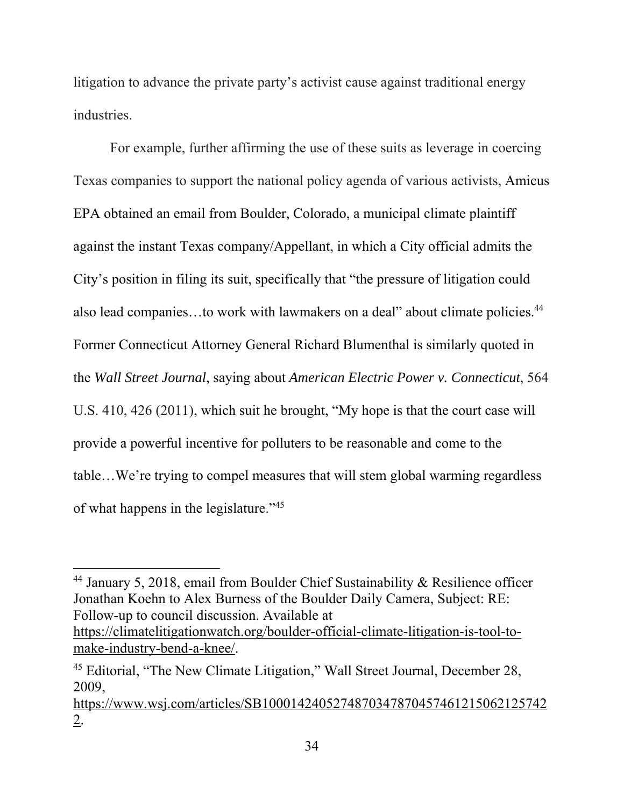litigation to advance the private party's activist cause against traditional energy industries.

For example, further affirming the use of these suits as leverage in coercing Texas companies to support the national policy agenda of various activists, Amicus EPA obtained an email from Boulder, Colorado, a municipal climate plaintiff against the instant Texas company/Appellant, in which a City official admits the City's position in filing its suit, specifically that "the pressure of litigation could also lead companies...to work with lawmakers on a deal" about climate policies.<sup>44</sup> Former Connecticut Attorney General Richard Blumenthal is similarly quoted in the *Wall Street Journal*, saying about *American Electric Power v. Connecticut*, 564 U.S. 410, 426 (2011), which suit he brought, "My hope is that the court case will provide a powerful incentive for polluters to be reasonable and come to the table…We're trying to compel measures that will stem global warming regardless of what happens in the legislature."45

<sup>44</sup> January 5, 2018, email from Boulder Chief Sustainability & Resilience officer Jonathan Koehn to Alex Burness of the Boulder Daily Camera, Subject: RE: Follow-up to council discussion. Available at

https://climatelitigationwatch.org/boulder-official-climate-litigation-is-tool-tomake-industry-bend-a-knee/.

<sup>45</sup> Editorial, "The New Climate Litigation," Wall Street Journal, December 28, 2009,

https://www.wsj.com/articles/SB1000142405274870347870457461215062125742 2.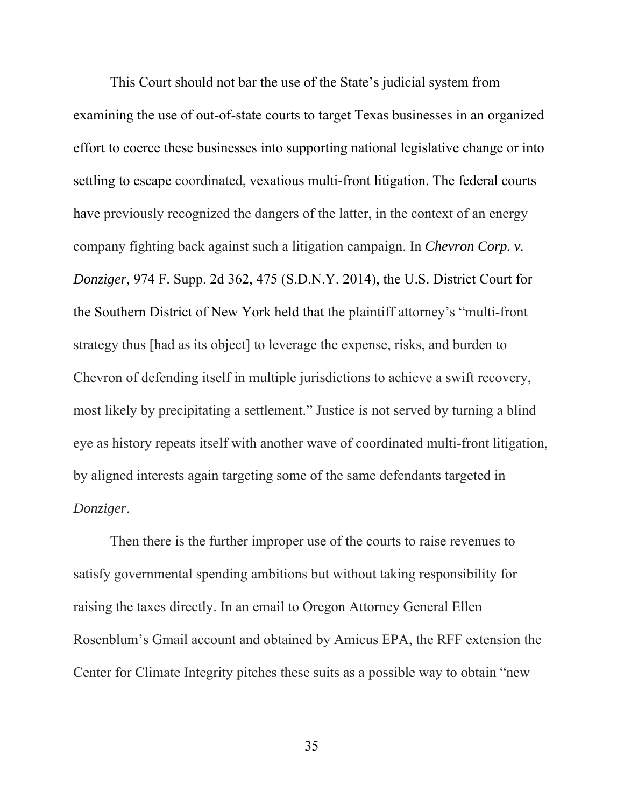This Court should not bar the use of the State's judicial system from examining the use of out-of-state courts to target Texas businesses in an organized effort to coerce these businesses into supporting national legislative change or into settling to escape coordinated, vexatious multi-front litigation. The federal courts have previously recognized the dangers of the latter, in the context of an energy company fighting back against such a litigation campaign. In *Chevron Corp. v. Donziger,* 974 F. Supp. 2d 362, 475 (S.D.N.Y. 2014), the U.S. District Court for the Southern District of New York held that the plaintiff attorney's "multi-front strategy thus [had as its object] to leverage the expense, risks, and burden to Chevron of defending itself in multiple jurisdictions to achieve a swift recovery, most likely by precipitating a settlement." Justice is not served by turning a blind eye as history repeats itself with another wave of coordinated multi-front litigation, by aligned interests again targeting some of the same defendants targeted in *Donziger*.

Then there is the further improper use of the courts to raise revenues to satisfy governmental spending ambitions but without taking responsibility for raising the taxes directly. In an email to Oregon Attorney General Ellen Rosenblum's Gmail account and obtained by Amicus EPA, the RFF extension the Center for Climate Integrity pitches these suits as a possible way to obtain "new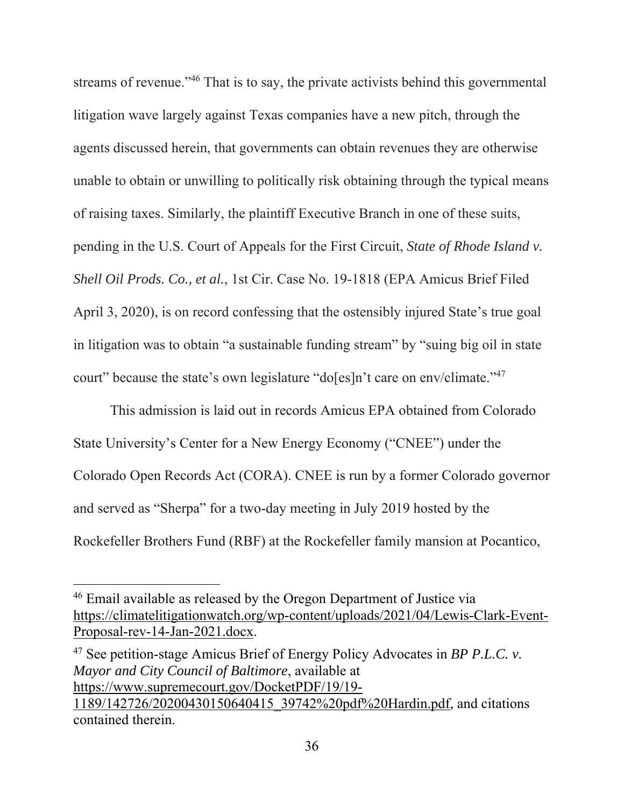streams of revenue."<sup>46</sup> That is to say, the private activists behind this governmental litigation wave largely against Texas companies have a new pitch, through the agents discussed herein, that governments can obtain revenues they are otherwise unable to obtain or unwilling to politically risk obtaining through the typical means of raising taxes. Similarly, the plaintiff Executive Branch in one of these suits, pending in the U.S. Court of Appeals for the First Circuit, *State of Rhode Island v. Shell Oil Prods. Co., et al.*, 1st Cir. Case No. 19-1818 (EPA Amicus Brief Filed April 3, 2020), is on record confessing that the ostensibly injured State's true goal in litigation was to obtain "a sustainable funding stream" by "suing big oil in state court" because the state's own legislature "do[es]n't care on env/climate."47

This admission is laid out in records Amicus EPA obtained from Colorado State University's Center for a New Energy Economy ("CNEE") under the Colorado Open Records Act (CORA). CNEE is run by a former Colorado governor and served as "Sherpa" for a two-day meeting in July 2019 hosted by the Rockefeller Brothers Fund (RBF) at the Rockefeller family mansion at Pocantico,

47 See petition-stage Amicus Brief of Energy Policy Advocates in *BP P.L.C. v. Mayor and City Council of Baltimore*, available at https://www.supremecourt.gov/DocketPDF/19/19- 1189/142726/20200430150640415\_39742%20pdf%20Hardin.pdf, and citations contained therein.

<sup>46</sup> Email available as released by the Oregon Department of Justice via https://climatelitigationwatch.org/wp-content/uploads/2021/04/Lewis-Clark-Event-Proposal-rev-14-Jan-2021.docx.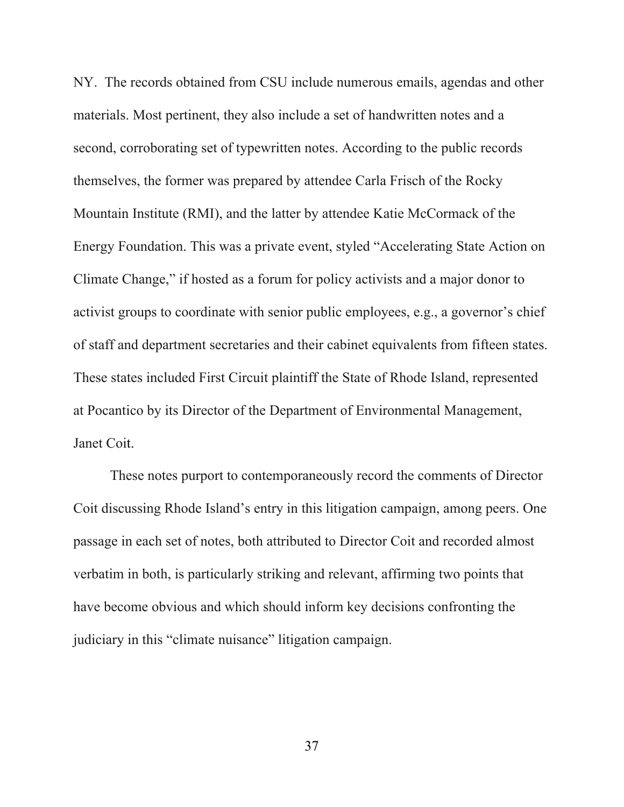NY. The records obtained from CSU include numerous emails, agendas and other materials. Most pertinent, they also include a set of handwritten notes and a second, corroborating set of typewritten notes. According to the public records themselves, the former was prepared by attendee Carla Frisch of the Rocky Mountain Institute (RMI), and the latter by attendee Katie McCormack of the Energy Foundation. This was a private event, styled "Accelerating State Action on Climate Change," if hosted as a forum for policy activists and a major donor to activist groups to coordinate with senior public employees, e.g., a governor's chief of staff and department secretaries and their cabinet equivalents from fifteen states. These states included First Circuit plaintiff the State of Rhode Island, represented at Pocantico by its Director of the Department of Environmental Management, Janet Coit.

 These notes purport to contemporaneously record the comments of Director Coit discussing Rhode Island's entry in this litigation campaign, among peers. One passage in each set of notes, both attributed to Director Coit and recorded almost verbatim in both, is particularly striking and relevant, affirming two points that have become obvious and which should inform key decisions confronting the judiciary in this "climate nuisance" litigation campaign.

37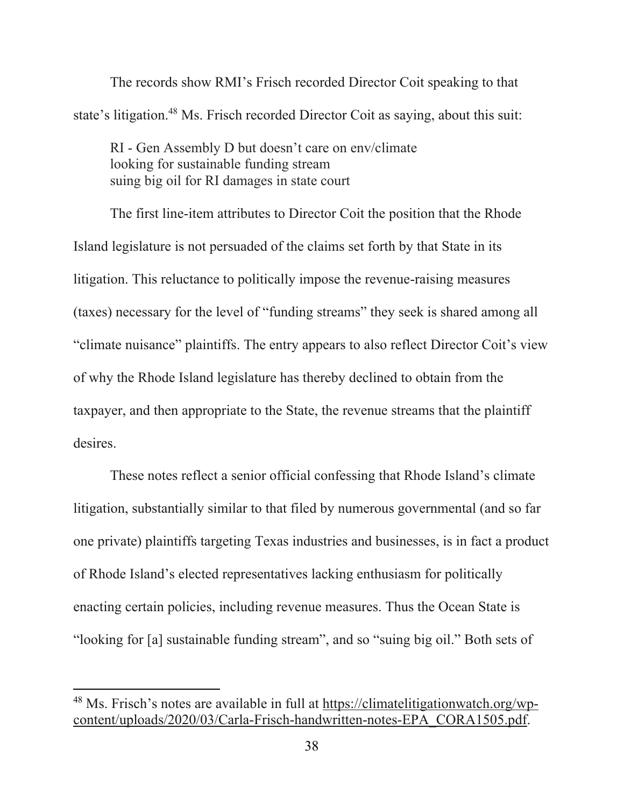The records show RMI's Frisch recorded Director Coit speaking to that state's litigation.<sup>48</sup> Ms. Frisch recorded Director Coit as saying, about this suit:

RI - Gen Assembly D but doesn't care on env/climate looking for sustainable funding stream suing big oil for RI damages in state court

 The first line-item attributes to Director Coit the position that the Rhode Island legislature is not persuaded of the claims set forth by that State in its litigation. This reluctance to politically impose the revenue-raising measures (taxes) necessary for the level of "funding streams" they seek is shared among all "climate nuisance" plaintiffs. The entry appears to also reflect Director Coit's view of why the Rhode Island legislature has thereby declined to obtain from the taxpayer, and then appropriate to the State, the revenue streams that the plaintiff desires.

 These notes reflect a senior official confessing that Rhode Island's climate litigation, substantially similar to that filed by numerous governmental (and so far one private) plaintiffs targeting Texas industries and businesses, is in fact a product of Rhode Island's elected representatives lacking enthusiasm for politically enacting certain policies, including revenue measures. Thus the Ocean State is "looking for [a] sustainable funding stream", and so "suing big oil." Both sets of

<sup>48</sup> Ms. Frisch's notes are available in full at https://climatelitigationwatch.org/wpcontent/uploads/2020/03/Carla-Frisch-handwritten-notes-EPA\_CORA1505.pdf.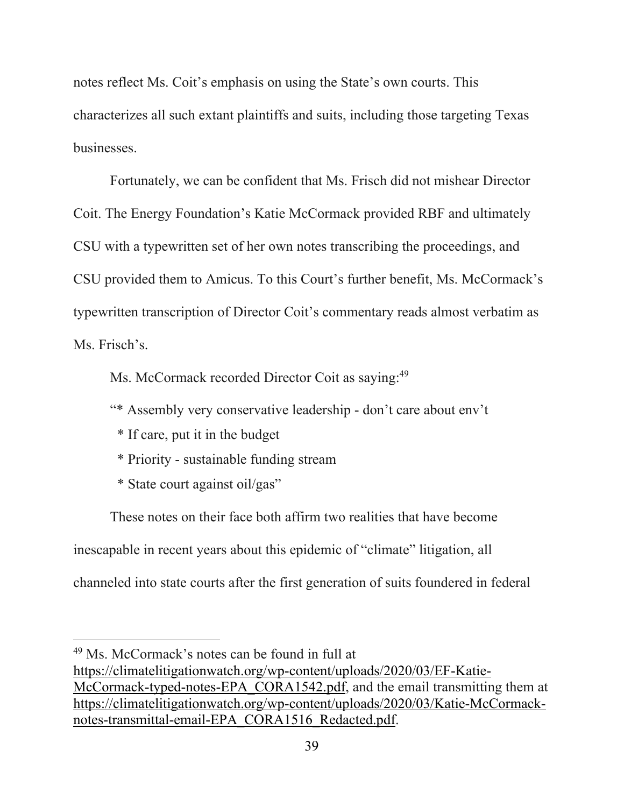notes reflect Ms. Coit's emphasis on using the State's own courts. This characterizes all such extant plaintiffs and suits, including those targeting Texas businesses.

 Fortunately, we can be confident that Ms. Frisch did not mishear Director Coit. The Energy Foundation's Katie McCormack provided RBF and ultimately CSU with a typewritten set of her own notes transcribing the proceedings, and CSU provided them to Amicus. To this Court's further benefit, Ms. McCormack's typewritten transcription of Director Coit's commentary reads almost verbatim as Ms. Frisch's.

Ms. McCormack recorded Director Coit as saying:<sup>49</sup>

"\* Assembly very conservative leadership - don't care about env't

- \* If care, put it in the budget
- \* Priority sustainable funding stream
- \* State court against oil/gas"

 These notes on their face both affirm two realities that have become inescapable in recent years about this epidemic of "climate" litigation, all channeled into state courts after the first generation of suits foundered in federal

<sup>49</sup> Ms. McCormack's notes can be found in full at https://climatelitigationwatch.org/wp-content/uploads/2020/03/EF-Katie-McCormack-typed-notes-EPA\_CORA1542.pdf, and the email transmitting them at https://climatelitigationwatch.org/wp-content/uploads/2020/03/Katie-McCormacknotes-transmittal-email-EPA\_CORA1516\_Redacted.pdf.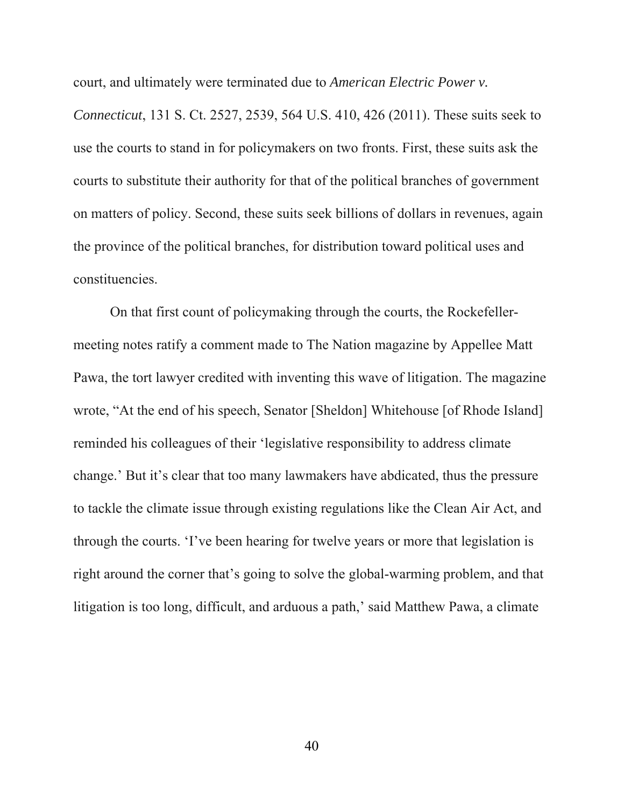court, and ultimately were terminated due to *American Electric Power v.* 

*Connecticut*, 131 S. Ct. 2527, 2539, 564 U.S. 410, 426 (2011). These suits seek to use the courts to stand in for policymakers on two fronts. First, these suits ask the courts to substitute their authority for that of the political branches of government on matters of policy. Second, these suits seek billions of dollars in revenues, again the province of the political branches, for distribution toward political uses and constituencies.

 On that first count of policymaking through the courts, the Rockefellermeeting notes ratify a comment made to The Nation magazine by Appellee Matt Pawa, the tort lawyer credited with inventing this wave of litigation. The magazine wrote, "At the end of his speech, Senator [Sheldon] Whitehouse [of Rhode Island] reminded his colleagues of their 'legislative responsibility to address climate change.' But it's clear that too many lawmakers have abdicated, thus the pressure to tackle the climate issue through existing regulations like the Clean Air Act, and through the courts. 'I've been hearing for twelve years or more that legislation is right around the corner that's going to solve the global-warming problem, and that litigation is too long, difficult, and arduous a path,' said Matthew Pawa, a climate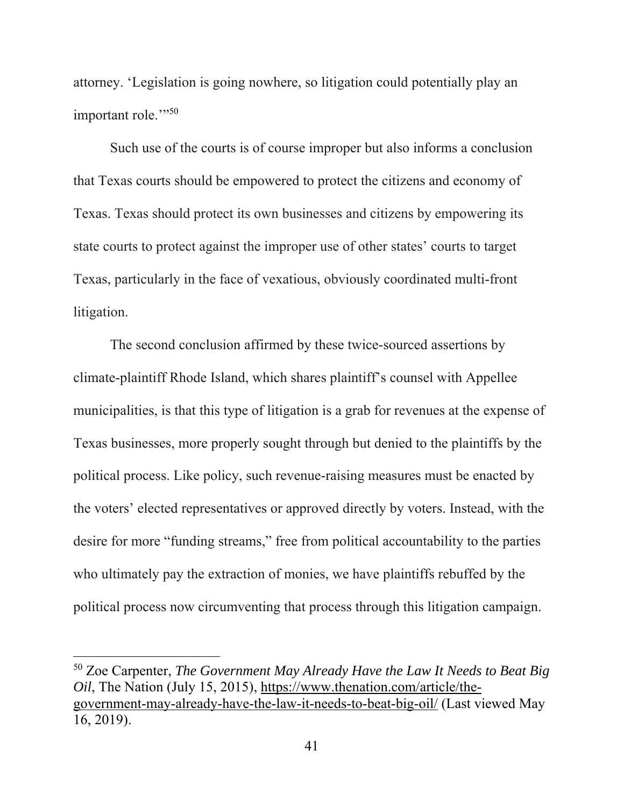attorney. 'Legislation is going nowhere, so litigation could potentially play an important role."<sup>50</sup>

 Such use of the courts is of course improper but also informs a conclusion that Texas courts should be empowered to protect the citizens and economy of Texas. Texas should protect its own businesses and citizens by empowering its state courts to protect against the improper use of other states' courts to target Texas, particularly in the face of vexatious, obviously coordinated multi-front litigation.

 The second conclusion affirmed by these twice-sourced assertions by climate-plaintiff Rhode Island, which shares plaintiff's counsel with Appellee municipalities, is that this type of litigation is a grab for revenues at the expense of Texas businesses, more properly sought through but denied to the plaintiffs by the political process. Like policy, such revenue-raising measures must be enacted by the voters' elected representatives or approved directly by voters. Instead, with the desire for more "funding streams," free from political accountability to the parties who ultimately pay the extraction of monies, we have plaintiffs rebuffed by the political process now circumventing that process through this litigation campaign.

<sup>50</sup> Zoe Carpenter, *The Government May Already Have the Law It Needs to Beat Big Oil*, The Nation (July 15, 2015), https://www.thenation.com/article/thegovernment-may-already-have-the-law-it-needs-to-beat-big-oil/ (Last viewed May 16, 2019).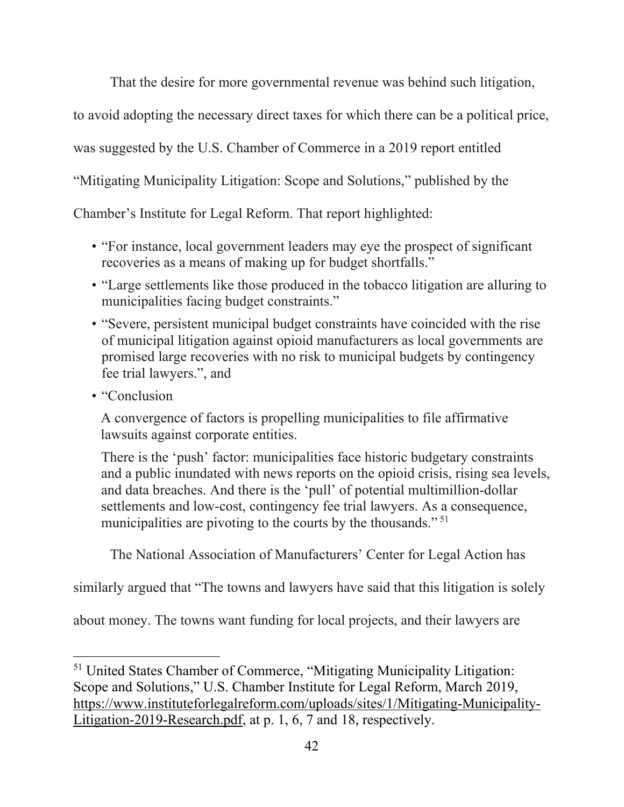That the desire for more governmental revenue was behind such litigation,

to avoid adopting the necessary direct taxes for which there can be a political price,

was suggested by the U.S. Chamber of Commerce in a 2019 report entitled

"Mitigating Municipality Litigation: Scope and Solutions," published by the

Chamber's Institute for Legal Reform. That report highlighted:

- "For instance, local government leaders may eye the prospect of significant recoveries as a means of making up for budget shortfalls."
- "Large settlements like those produced in the tobacco litigation are alluring to municipalities facing budget constraints."
- "Severe, persistent municipal budget constraints have coincided with the rise of municipal litigation against opioid manufacturers as local governments are promised large recoveries with no risk to municipal budgets by contingency fee trial lawyers.", and
- "Conclusion

A convergence of factors is propelling municipalities to file affirmative lawsuits against corporate entities.

There is the 'push' factor: municipalities face historic budgetary constraints and a public inundated with news reports on the opioid crisis, rising sea levels, and data breaches. And there is the 'pull' of potential multimillion-dollar settlements and low-cost, contingency fee trial lawyers. As a consequence, municipalities are pivoting to the courts by the thousands." 51

The National Association of Manufacturers' Center for Legal Action has

similarly argued that "The towns and lawyers have said that this litigation is solely

about money. The towns want funding for local projects, and their lawyers are

<sup>51</sup> United States Chamber of Commerce, "Mitigating Municipality Litigation: Scope and Solutions," U.S. Chamber Institute for Legal Reform, March 2019, https://www.instituteforlegalreform.com/uploads/sites/1/Mitigating-Municipality-Litigation-2019-Research.pdf, at p. 1, 6, 7 and 18, respectively.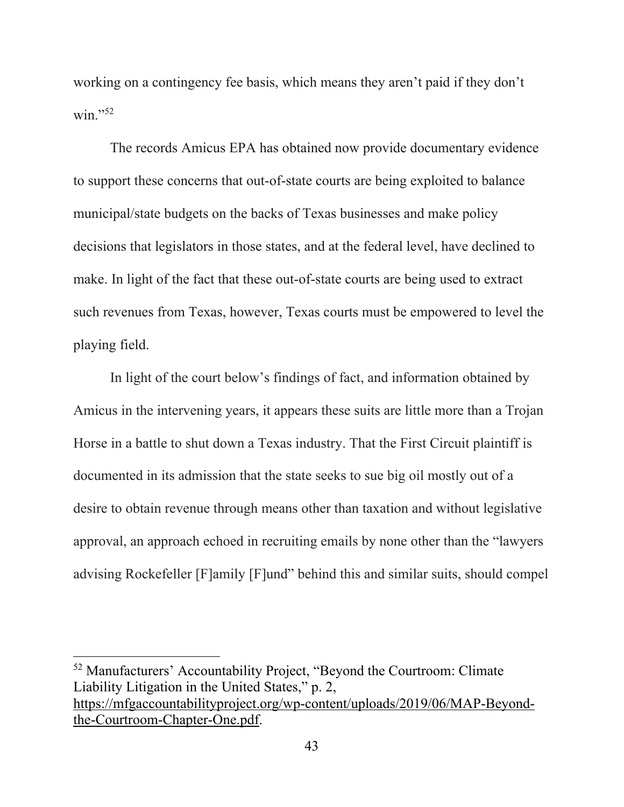working on a contingency fee basis, which means they aren't paid if they don't  $win.$ "<sup>52</sup>

 The records Amicus EPA has obtained now provide documentary evidence to support these concerns that out-of-state courts are being exploited to balance municipal/state budgets on the backs of Texas businesses and make policy decisions that legislators in those states, and at the federal level, have declined to make. In light of the fact that these out-of-state courts are being used to extract such revenues from Texas, however, Texas courts must be empowered to level the playing field.

In light of the court below's findings of fact, and information obtained by Amicus in the intervening years, it appears these suits are little more than a Trojan Horse in a battle to shut down a Texas industry. That the First Circuit plaintiff is documented in its admission that the state seeks to sue big oil mostly out of a desire to obtain revenue through means other than taxation and without legislative approval, an approach echoed in recruiting emails by none other than the "lawyers advising Rockefeller [F]amily [F]und" behind this and similar suits, should compel

52 Manufacturers' Accountability Project, "Beyond the Courtroom: Climate Liability Litigation in the United States," p. 2, https://mfgaccountabilityproject.org/wp-content/uploads/2019/06/MAP-Beyondthe-Courtroom-Chapter-One.pdf.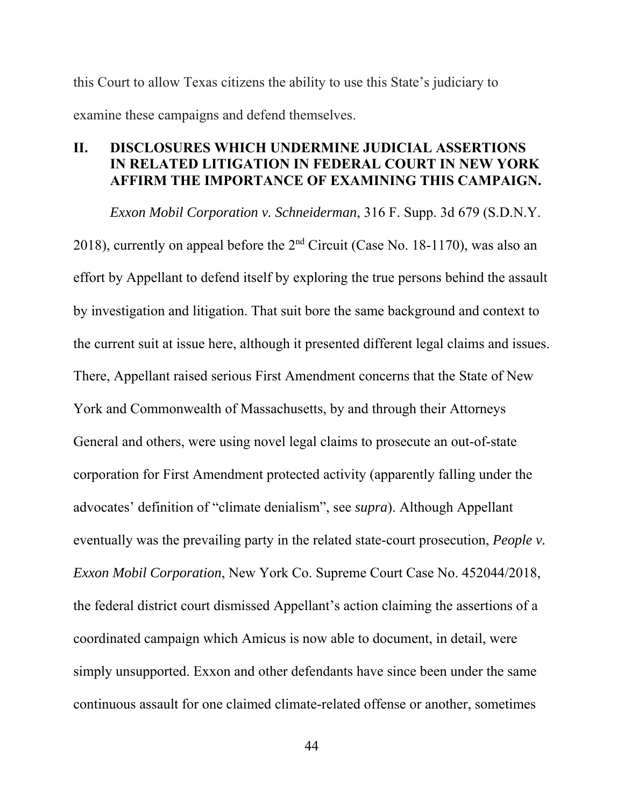this Court to allow Texas citizens the ability to use this State's judiciary to examine these campaigns and defend themselves.

## **II. DISCLOSURES WHICH UNDERMINE JUDICIAL ASSERTIONS IN RELATED LITIGATION IN FEDERAL COURT IN NEW YORK AFFIRM THE IMPORTANCE OF EXAMINING THIS CAMPAIGN.**

*Exxon Mobil Corporation v. Schneiderman*, 316 F. Supp. 3d 679 (S.D.N.Y. 2018), currently on appeal before the 2nd Circuit (Case No. 18-1170), was also an effort by Appellant to defend itself by exploring the true persons behind the assault by investigation and litigation. That suit bore the same background and context to the current suit at issue here, although it presented different legal claims and issues. There, Appellant raised serious First Amendment concerns that the State of New York and Commonwealth of Massachusetts, by and through their Attorneys General and others, were using novel legal claims to prosecute an out-of-state corporation for First Amendment protected activity (apparently falling under the advocates' definition of "climate denialism", see *supra*). Although Appellant eventually was the prevailing party in the related state-court prosecution, *People v. Exxon Mobil Corporation*, New York Co. Supreme Court Case No. 452044/2018, the federal district court dismissed Appellant's action claiming the assertions of a coordinated campaign which Amicus is now able to document, in detail, were simply unsupported. Exxon and other defendants have since been under the same continuous assault for one claimed climate-related offense or another, sometimes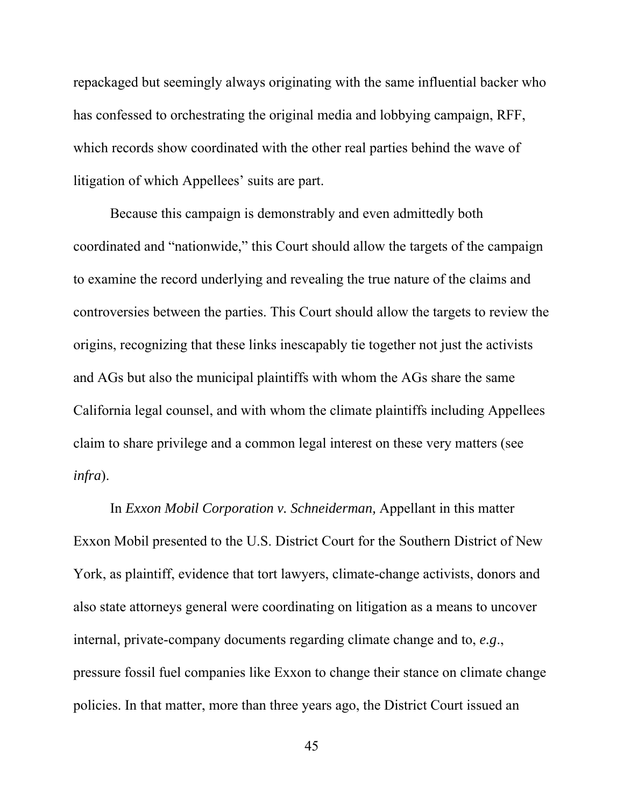repackaged but seemingly always originating with the same influential backer who has confessed to orchestrating the original media and lobbying campaign, RFF, which records show coordinated with the other real parties behind the wave of litigation of which Appellees' suits are part.

Because this campaign is demonstrably and even admittedly both coordinated and "nationwide," this Court should allow the targets of the campaign to examine the record underlying and revealing the true nature of the claims and controversies between the parties. This Court should allow the targets to review the origins, recognizing that these links inescapably tie together not just the activists and AGs but also the municipal plaintiffs with whom the AGs share the same California legal counsel, and with whom the climate plaintiffs including Appellees claim to share privilege and a common legal interest on these very matters (see *infra*).

In *Exxon Mobil Corporation v. Schneiderman,* Appellant in this matter Exxon Mobil presented to the U.S. District Court for the Southern District of New York, as plaintiff, evidence that tort lawyers, climate-change activists, donors and also state attorneys general were coordinating on litigation as a means to uncover internal, private-company documents regarding climate change and to, *e.g*., pressure fossil fuel companies like Exxon to change their stance on climate change policies. In that matter, more than three years ago, the District Court issued an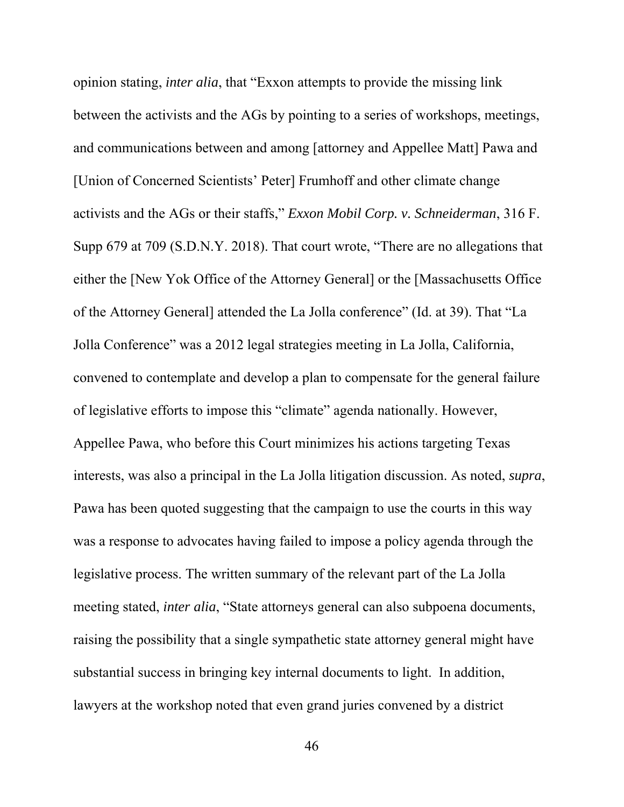opinion stating, *inter alia*, that "Exxon attempts to provide the missing link between the activists and the AGs by pointing to a series of workshops, meetings, and communications between and among [attorney and Appellee Matt] Pawa and [Union of Concerned Scientists' Peter] Frumhoff and other climate change activists and the AGs or their staffs," *Exxon Mobil Corp. v. Schneiderman*, 316 F. Supp 679 at 709 (S.D.N.Y. 2018). That court wrote, "There are no allegations that either the [New Yok Office of the Attorney General] or the [Massachusetts Office of the Attorney General] attended the La Jolla conference" (Id. at 39). That "La Jolla Conference" was a 2012 legal strategies meeting in La Jolla, California, convened to contemplate and develop a plan to compensate for the general failure of legislative efforts to impose this "climate" agenda nationally. However, Appellee Pawa, who before this Court minimizes his actions targeting Texas interests, was also a principal in the La Jolla litigation discussion. As noted, *supra*, Pawa has been quoted suggesting that the campaign to use the courts in this way was a response to advocates having failed to impose a policy agenda through the legislative process. The written summary of the relevant part of the La Jolla meeting stated, *inter alia*, "State attorneys general can also subpoena documents, raising the possibility that a single sympathetic state attorney general might have substantial success in bringing key internal documents to light. In addition, lawyers at the workshop noted that even grand juries convened by a district

46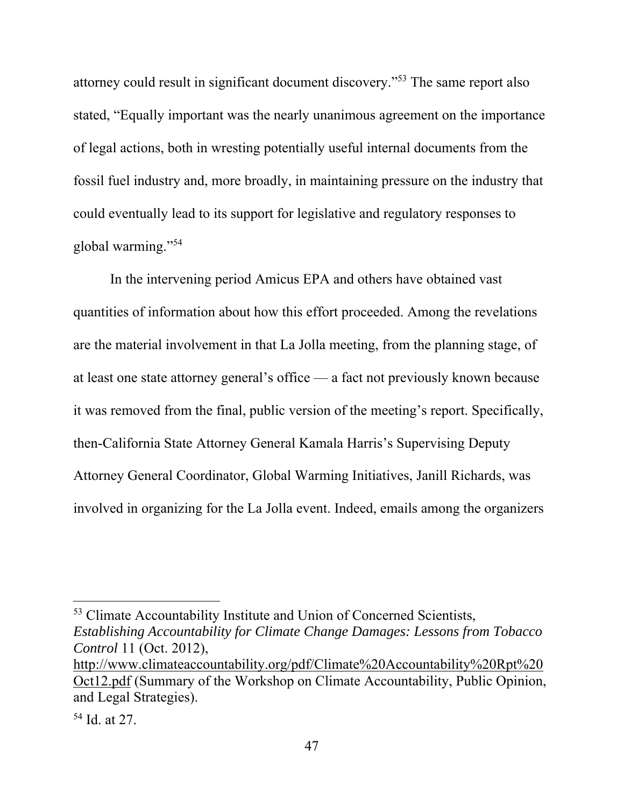attorney could result in significant document discovery."53 The same report also stated, "Equally important was the nearly unanimous agreement on the importance of legal actions, both in wresting potentially useful internal documents from the fossil fuel industry and, more broadly, in maintaining pressure on the industry that could eventually lead to its support for legislative and regulatory responses to global warming."54

In the intervening period Amicus EPA and others have obtained vast quantities of information about how this effort proceeded. Among the revelations are the material involvement in that La Jolla meeting, from the planning stage, of at least one state attorney general's office — a fact not previously known because it was removed from the final, public version of the meeting's report. Specifically, then-California State Attorney General Kamala Harris's Supervising Deputy Attorney General Coordinator, Global Warming Initiatives, Janill Richards, was involved in organizing for the La Jolla event. Indeed, emails among the organizers

53 Climate Accountability Institute and Union of Concerned Scientists, *Establishing Accountability for Climate Change Damages: Lessons from Tobacco Control* 11 (Oct. 2012),

http://www.climateaccountability.org/pdf/Climate%20Accountability%20Rpt%20 Oct12.pdf (Summary of the Workshop on Climate Accountability, Public Opinion, and Legal Strategies).

<sup>54</sup> Id. at 27.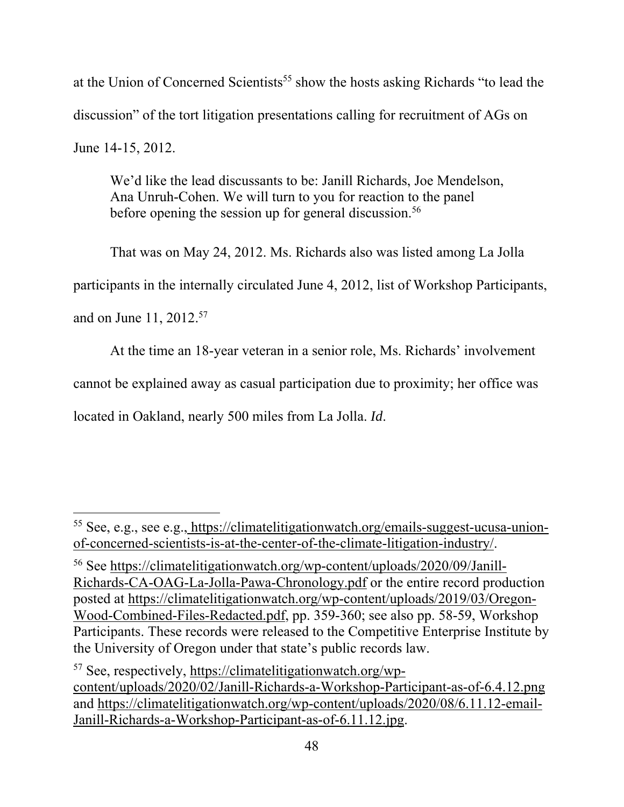at the Union of Concerned Scientists<sup>55</sup> show the hosts asking Richards "to lead the discussion" of the tort litigation presentations calling for recruitment of AGs on June 14-15, 2012.

We'd like the lead discussants to be: Janill Richards, Joe Mendelson, Ana Unruh-Cohen. We will turn to you for reaction to the panel before opening the session up for general discussion.<sup>56</sup>

That was on May 24, 2012. Ms. Richards also was listed among La Jolla

participants in the internally circulated June 4, 2012, list of Workshop Participants,

and on June 11, 2012.57

At the time an 18-year veteran in a senior role, Ms. Richards' involvement

cannot be explained away as casual participation due to proximity; her office was

located in Oakland, nearly 500 miles from La Jolla. *Id*.

<sup>55</sup> See, e.g., see e.g., https://climatelitigationwatch.org/emails-suggest-ucusa-unionof-concerned-scientists-is-at-the-center-of-the-climate-litigation-industry/.

<sup>56</sup> See https://climatelitigationwatch.org/wp-content/uploads/2020/09/Janill-Richards-CA-OAG-La-Jolla-Pawa-Chronology.pdf or the entire record production posted at https://climatelitigationwatch.org/wp-content/uploads/2019/03/Oregon-Wood-Combined-Files-Redacted.pdf, pp. 359-360; see also pp. 58-59, Workshop Participants. These records were released to the Competitive Enterprise Institute by the University of Oregon under that state's public records law.

<sup>57</sup> See, respectively, https://climatelitigationwatch.org/wpcontent/uploads/2020/02/Janill-Richards-a-Workshop-Participant-as-of-6.4.12.png and https://climatelitigationwatch.org/wp-content/uploads/2020/08/6.11.12-email-Janill-Richards-a-Workshop-Participant-as-of-6.11.12.jpg.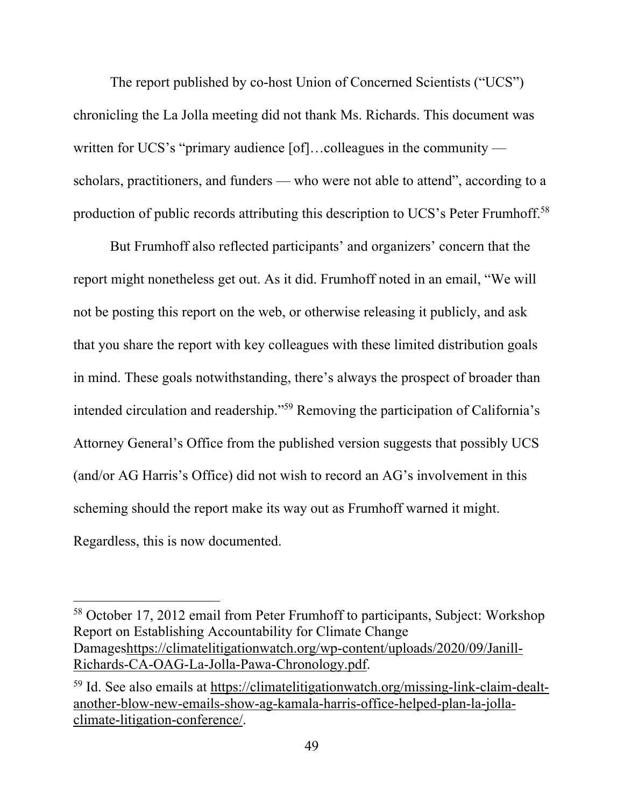The report published by co-host Union of Concerned Scientists ("UCS") chronicling the La Jolla meeting did not thank Ms. Richards. This document was written for UCS's "primary audience [of]...colleagues in the community scholars, practitioners, and funders — who were not able to attend", according to a production of public records attributing this description to UCS's Peter Frumhoff.58

But Frumhoff also reflected participants' and organizers' concern that the report might nonetheless get out. As it did. Frumhoff noted in an email, "We will not be posting this report on the web, or otherwise releasing it publicly, and ask that you share the report with key colleagues with these limited distribution goals in mind. These goals notwithstanding, there's always the prospect of broader than intended circulation and readership."59 Removing the participation of California's Attorney General's Office from the published version suggests that possibly UCS (and/or AG Harris's Office) did not wish to record an AG's involvement in this scheming should the report make its way out as Frumhoff warned it might. Regardless, this is now documented.

<sup>58</sup> October 17, 2012 email from Peter Frumhoff to participants, Subject: Workshop Report on Establishing Accountability for Climate Change Damageshttps://climatelitigationwatch.org/wp-content/uploads/2020/09/Janill-Richards-CA-OAG-La-Jolla-Pawa-Chronology.pdf.

<sup>59</sup> Id. See also emails at https://climatelitigationwatch.org/missing-link-claim-dealtanother-blow-new-emails-show-ag-kamala-harris-office-helped-plan-la-jollaclimate-litigation-conference/.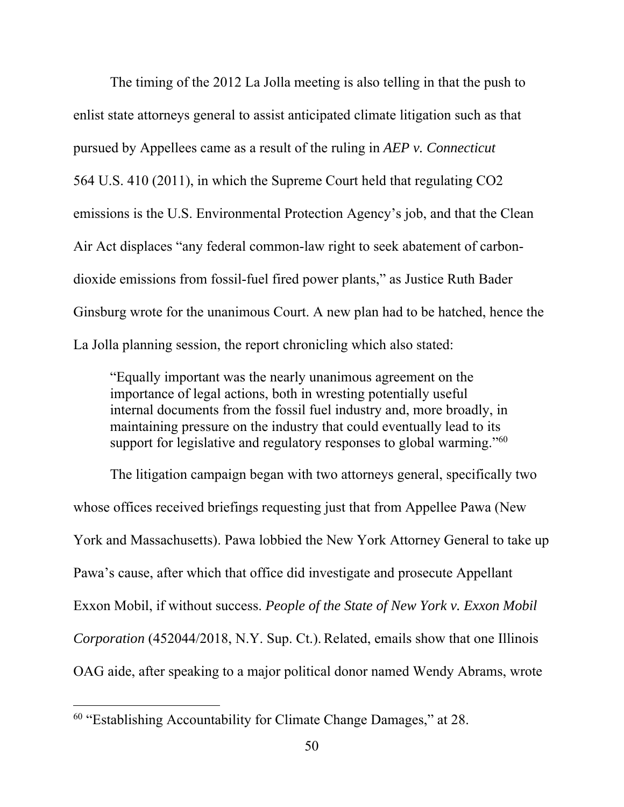The timing of the 2012 La Jolla meeting is also telling in that the push to enlist state attorneys general to assist anticipated climate litigation such as that pursued by Appellees came as a result of the ruling in *AEP v. Connecticut* 564 U.S. 410 (2011), in which the Supreme Court held that regulating CO2 emissions is the U.S. Environmental Protection Agency's job, and that the Clean Air Act displaces "any federal common-law right to seek abatement of carbondioxide emissions from fossil-fuel fired power plants," as Justice Ruth Bader Ginsburg wrote for the unanimous Court. A new plan had to be hatched, hence the La Jolla planning session, the report chronicling which also stated:

"Equally important was the nearly unanimous agreement on the importance of legal actions, both in wresting potentially useful internal documents from the fossil fuel industry and, more broadly, in maintaining pressure on the industry that could eventually lead to its support for legislative and regulatory responses to global warming."<sup>60</sup>

 The litigation campaign began with two attorneys general, specifically two whose offices received briefings requesting just that from Appellee Pawa (New York and Massachusetts). Pawa lobbied the New York Attorney General to take up Pawa's cause, after which that office did investigate and prosecute Appellant Exxon Mobil, if without success. *People of the State of New York v. Exxon Mobil Corporation* (452044/2018, N.Y. Sup. Ct.). Related, emails show that one Illinois OAG aide, after speaking to a major political donor named Wendy Abrams, wrote

<sup>60 &</sup>quot;Establishing Accountability for Climate Change Damages," at 28.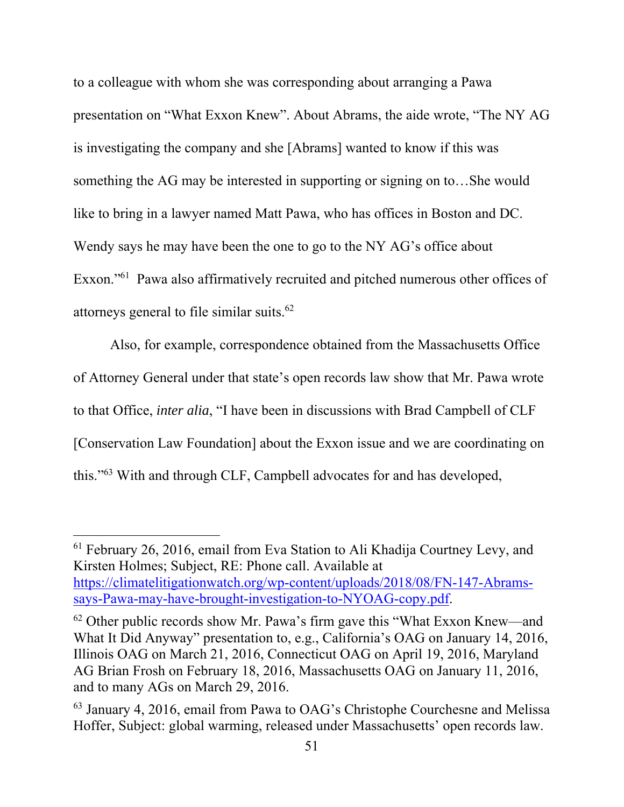to a colleague with whom she was corresponding about arranging a Pawa presentation on "What Exxon Knew". About Abrams, the aide wrote, "The NY AG is investigating the company and she [Abrams] wanted to know if this was something the AG may be interested in supporting or signing on to…She would like to bring in a lawyer named Matt Pawa, who has offices in Boston and DC. Wendy says he may have been the one to go to the NY AG's office about Exxon."61 Pawa also affirmatively recruited and pitched numerous other offices of attorneys general to file similar suits.62

 Also, for example, correspondence obtained from the Massachusetts Office of Attorney General under that state's open records law show that Mr. Pawa wrote to that Office, *inter alia*, "I have been in discussions with Brad Campbell of CLF [Conservation Law Foundation] about the Exxon issue and we are coordinating on this."63 With and through CLF, Campbell advocates for and has developed,

<sup>61</sup> February 26, 2016, email from Eva Station to Ali Khadija Courtney Levy, and Kirsten Holmes; Subject, RE: Phone call. Available at https://climatelitigationwatch.org/wp-content/uploads/2018/08/FN-147-Abramssays-Pawa-may-have-brought-investigation-to-NYOAG-copy.pdf.

 $62$  Other public records show Mr. Pawa's firm gave this "What Exxon Knew—and What It Did Anyway" presentation to, e.g., California's OAG on January 14, 2016, Illinois OAG on March 21, 2016, Connecticut OAG on April 19, 2016, Maryland AG Brian Frosh on February 18, 2016, Massachusetts OAG on January 11, 2016, and to many AGs on March 29, 2016.

<sup>63</sup> January 4, 2016, email from Pawa to OAG's Christophe Courchesne and Melissa Hoffer, Subject: global warming, released under Massachusetts' open records law.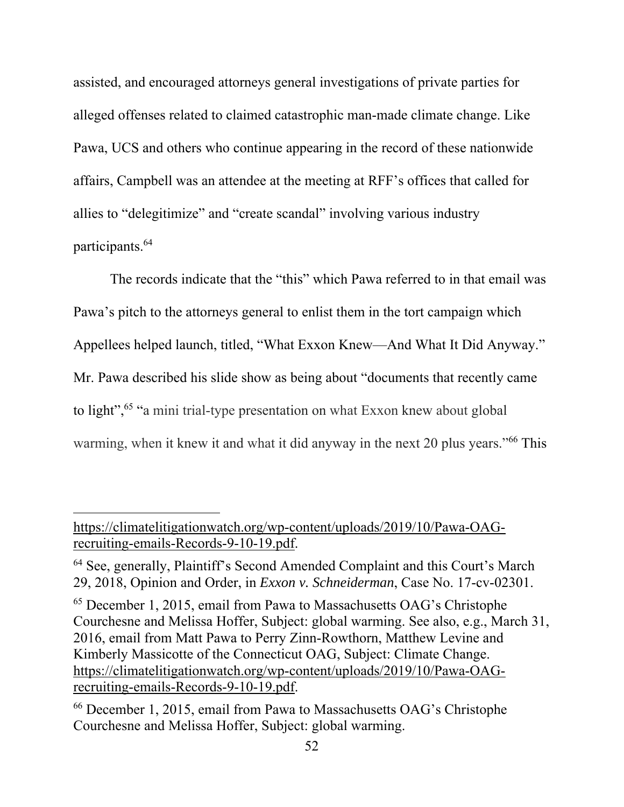assisted, and encouraged attorneys general investigations of private parties for alleged offenses related to claimed catastrophic man-made climate change. Like Pawa, UCS and others who continue appearing in the record of these nationwide affairs, Campbell was an attendee at the meeting at RFF's offices that called for allies to "delegitimize" and "create scandal" involving various industry participants.64

 The records indicate that the "this" which Pawa referred to in that email was Pawa's pitch to the attorneys general to enlist them in the tort campaign which Appellees helped launch, titled, "What Exxon Knew—And What It Did Anyway." Mr. Pawa described his slide show as being about "documents that recently came to light",<sup>65</sup> "a mini trial-type presentation on what Exxon knew about global warming, when it knew it and what it did anyway in the next 20 plus years."<sup>66</sup> This

https://climatelitigationwatch.org/wp-content/uploads/2019/10/Pawa-OAGrecruiting-emails-Records-9-10-19.pdf.

<sup>64</sup> See, generally, Plaintiff's Second Amended Complaint and this Court's March 29, 2018, Opinion and Order, in *Exxon v. Schneiderman*, Case No. 17-cv-02301.

<sup>65</sup> December 1, 2015, email from Pawa to Massachusetts OAG's Christophe Courchesne and Melissa Hoffer, Subject: global warming. See also, e.g., March 31, 2016, email from Matt Pawa to Perry Zinn-Rowthorn, Matthew Levine and Kimberly Massicotte of the Connecticut OAG, Subject: Climate Change. https://climatelitigationwatch.org/wp-content/uploads/2019/10/Pawa-OAGrecruiting-emails-Records-9-10-19.pdf.

<sup>66</sup> December 1, 2015, email from Pawa to Massachusetts OAG's Christophe Courchesne and Melissa Hoffer, Subject: global warming.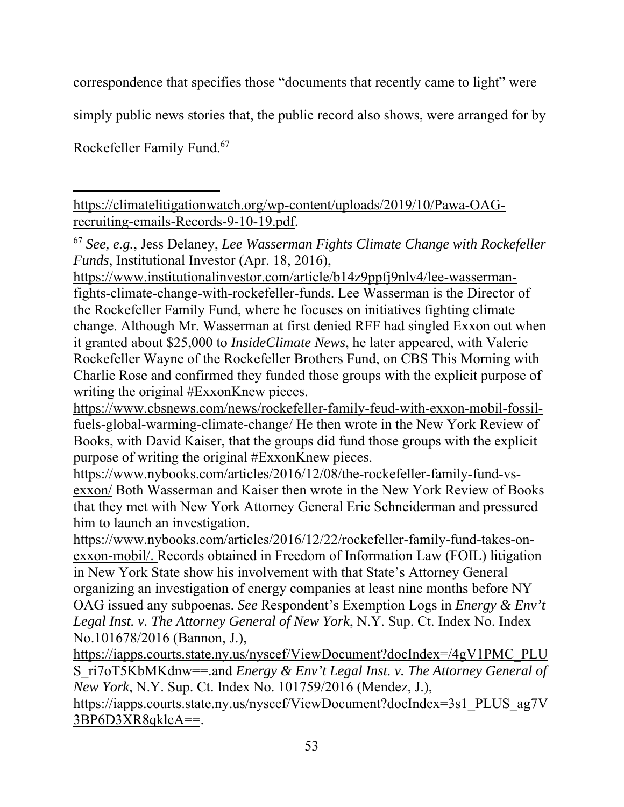correspondence that specifies those "documents that recently came to light" were

simply public news stories that, the public record also shows, were arranged for by

Rockefeller Family Fund.67

https://climatelitigationwatch.org/wp-content/uploads/2019/10/Pawa-OAGrecruiting-emails-Records-9-10-19.pdf.

<sup>67</sup> *See, e.g.*, Jess Delaney, *Lee Wasserman Fights Climate Change with Rockefeller Funds*, Institutional Investor (Apr. 18, 2016),

https://www.institutionalinvestor.com/article/b14z9ppfj9nlv4/lee-wassermanfights-climate-change-with-rockefeller-funds. Lee Wasserman is the Director of the Rockefeller Family Fund, where he focuses on initiatives fighting climate change. Although Mr. Wasserman at first denied RFF had singled Exxon out when it granted about \$25,000 to *InsideClimate News*, he later appeared, with Valerie Rockefeller Wayne of the Rockefeller Brothers Fund, on CBS This Morning with Charlie Rose and confirmed they funded those groups with the explicit purpose of writing the original #ExxonKnew pieces.

https://www.cbsnews.com/news/rockefeller-family-feud-with-exxon-mobil-fossilfuels-global-warming-climate-change/ He then wrote in the New York Review of Books, with David Kaiser, that the groups did fund those groups with the explicit purpose of writing the original #ExxonKnew pieces.

https://www.nybooks.com/articles/2016/12/08/the-rockefeller-family-fund-vsexxon/ Both Wasserman and Kaiser then wrote in the New York Review of Books that they met with New York Attorney General Eric Schneiderman and pressured him to launch an investigation.

https://www.nybooks.com/articles/2016/12/22/rockefeller-family-fund-takes-onexxon-mobil/. Records obtained in Freedom of Information Law (FOIL) litigation in New York State show his involvement with that State's Attorney General organizing an investigation of energy companies at least nine months before NY OAG issued any subpoenas. *See* Respondent's Exemption Logs in *Energy & Env't Legal Inst. v. The Attorney General of New York*, N.Y. Sup. Ct. Index No. Index No.101678/2016 (Bannon, J.),

https://iapps.courts.state.ny.us/nyscef/ViewDocument?docIndex=/4gV1PMC\_PLU S\_ri7oT5KbMKdnw==.and *Energy & Env't Legal Inst. v. The Attorney General of New York*, N.Y. Sup. Ct. Index No. 101759/2016 (Mendez, J.),

https://iapps.courts.state.ny.us/nyscef/ViewDocument?docIndex=3s1\_PLUS\_ag7V 3BP6D3XR8qklcA==.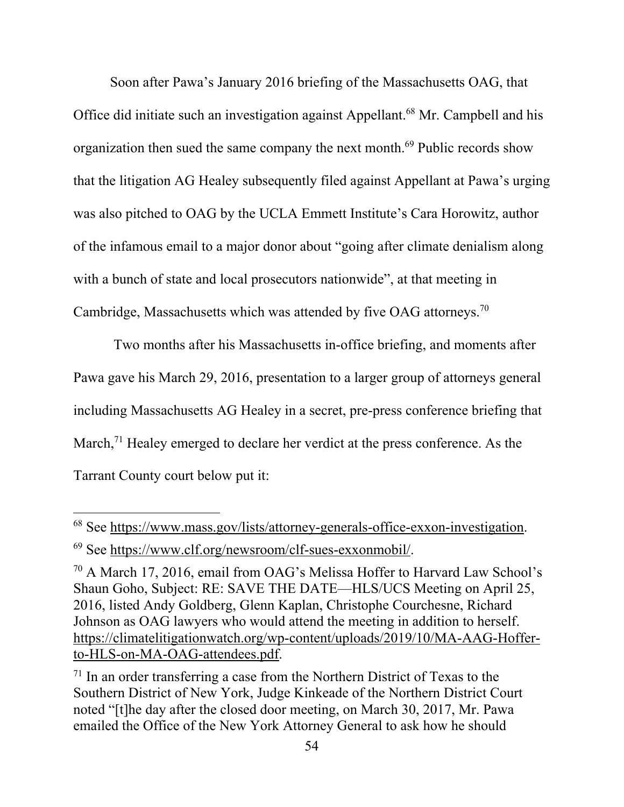Soon after Pawa's January 2016 briefing of the Massachusetts OAG, that Office did initiate such an investigation against Appellant.68 Mr. Campbell and his organization then sued the same company the next month.<sup>69</sup> Public records show that the litigation AG Healey subsequently filed against Appellant at Pawa's urging was also pitched to OAG by the UCLA Emmett Institute's Cara Horowitz, author of the infamous email to a major donor about "going after climate denialism along with a bunch of state and local prosecutors nationwide", at that meeting in Cambridge, Massachusetts which was attended by five OAG attorneys.70

 Two months after his Massachusetts in-office briefing, and moments after Pawa gave his March 29, 2016, presentation to a larger group of attorneys general including Massachusetts AG Healey in a secret, pre-press conference briefing that March,<sup>71</sup> Healey emerged to declare her verdict at the press conference. As the Tarrant County court below put it:

<sup>68</sup> See https://www.mass.gov/lists/attorney-generals-office-exxon-investigation. 69 See https://www.clf.org/newsroom/clf-sues-exxonmobil/.

<sup>70</sup> A March 17, 2016, email from OAG's Melissa Hoffer to Harvard Law School's Shaun Goho, Subject: RE: SAVE THE DATE—HLS/UCS Meeting on April 25, 2016, listed Andy Goldberg, Glenn Kaplan, Christophe Courchesne, Richard Johnson as OAG lawyers who would attend the meeting in addition to herself. https://climatelitigationwatch.org/wp-content/uploads/2019/10/MA-AAG-Hofferto-HLS-on-MA-OAG-attendees.pdf.

 $71$  In an order transferring a case from the Northern District of Texas to the Southern District of New York, Judge Kinkeade of the Northern District Court noted "[t]he day after the closed door meeting, on March 30, 2017, Mr. Pawa emailed the Office of the New York Attorney General to ask how he should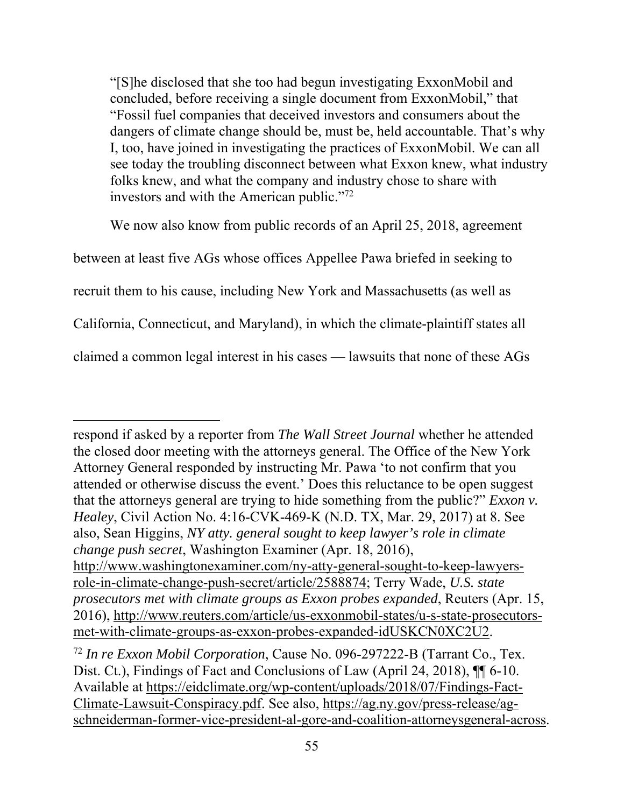"[S]he disclosed that she too had begun investigating ExxonMobil and concluded, before receiving a single document from ExxonMobil," that "Fossil fuel companies that deceived investors and consumers about the dangers of climate change should be, must be, held accountable. That's why I, too, have joined in investigating the practices of ExxonMobil. We can all see today the troubling disconnect between what Exxon knew, what industry folks knew, and what the company and industry chose to share with investors and with the American public."<sup>72</sup>

We now also know from public records of an April 25, 2018, agreement

between at least five AGs whose offices Appellee Pawa briefed in seeking to

recruit them to his cause, including New York and Massachusetts (as well as

California, Connecticut, and Maryland), in which the climate-plaintiff states all

claimed a common legal interest in his cases — lawsuits that none of these AGs

respond if asked by a reporter from *The Wall Street Journal* whether he attended the closed door meeting with the attorneys general. The Office of the New York Attorney General responded by instructing Mr. Pawa 'to not confirm that you attended or otherwise discuss the event.' Does this reluctance to be open suggest that the attorneys general are trying to hide something from the public?" *Exxon v. Healey*, Civil Action No. 4:16-CVK-469-K (N.D. TX, Mar. 29, 2017) at 8. See also, Sean Higgins, *NY atty. general sought to keep lawyer's role in climate change push secret*, Washington Examiner (Apr. 18, 2016), http://www.washingtonexaminer.com/ny-atty-general-sought-to-keep-lawyersrole-in-climate-change-push-secret/article/2588874; Terry Wade, *U.S. state prosecutors met with climate groups as Exxon probes expanded*, Reuters (Apr. 15, 2016), http://www.reuters.com/article/us-exxonmobil-states/u-s-state-prosecutorsmet-with-climate-groups-as-exxon-probes-expanded-idUSKCN0XC2U2.

<sup>72</sup> *In re Exxon Mobil Corporation*, Cause No. 096-297222-B (Tarrant Co., Tex. Dist. Ct.), Findings of Fact and Conclusions of Law (April 24, 2018),  $\P\P$  6-10. Available at https://eidclimate.org/wp-content/uploads/2018/07/Findings-Fact-Climate-Lawsuit-Conspiracy.pdf. See also, https://ag.ny.gov/press-release/agschneiderman-former-vice-president-al-gore-and-coalition-attorneysgeneral-across.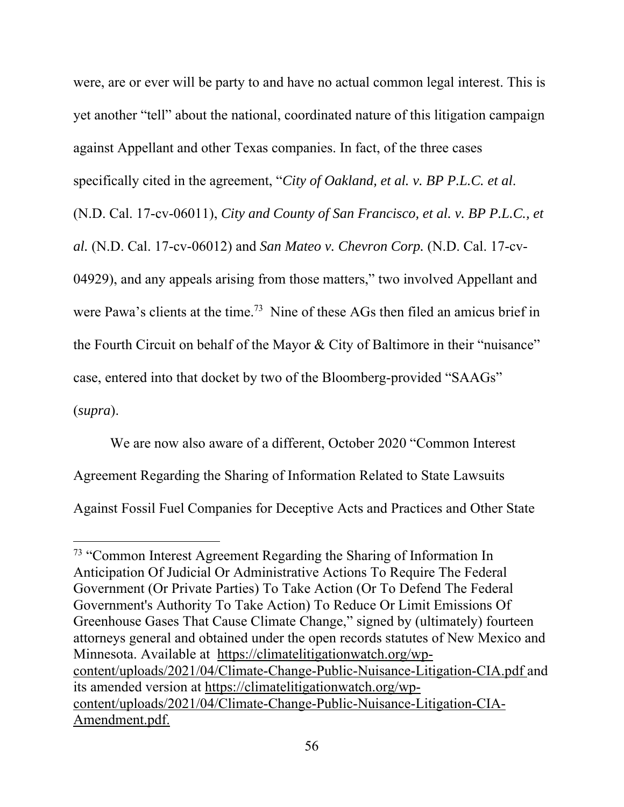were, are or ever will be party to and have no actual common legal interest. This is yet another "tell" about the national, coordinated nature of this litigation campaign against Appellant and other Texas companies. In fact, of the three cases specifically cited in the agreement, "*City of Oakland, et al. v. BP P.L.C. et al*. (N.D. Cal. 17-cv-06011), *City and County of San Francisco, et al. v. BP P.L.C., et al.* (N.D. Cal. 17-cv-06012) and *San Mateo v. Chevron Corp.* (N.D. Cal. 17-cv-04929), and any appeals arising from those matters," two involved Appellant and were Pawa's clients at the time.<sup>73</sup> Nine of these AGs then filed an amicus brief in the Fourth Circuit on behalf of the Mayor & City of Baltimore in their "nuisance" case, entered into that docket by two of the Bloomberg-provided "SAAGs" (*supra*).

 We are now also aware of a different, October 2020 "Common Interest Agreement Regarding the Sharing of Information Related to State Lawsuits Against Fossil Fuel Companies for Deceptive Acts and Practices and Other State

<sup>&</sup>lt;sup>73</sup> "Common Interest Agreement Regarding the Sharing of Information In Anticipation Of Judicial Or Administrative Actions To Require The Federal Government (Or Private Parties) To Take Action (Or To Defend The Federal Government's Authority To Take Action) To Reduce Or Limit Emissions Of Greenhouse Gases That Cause Climate Change," signed by (ultimately) fourteen attorneys general and obtained under the open records statutes of New Mexico and Minnesota. Available at https://climatelitigationwatch.org/wpcontent/uploads/2021/04/Climate-Change-Public-Nuisance-Litigation-CIA.pdf and its amended version at https://climatelitigationwatch.org/wpcontent/uploads/2021/04/Climate-Change-Public-Nuisance-Litigation-CIA-Amendment.pdf.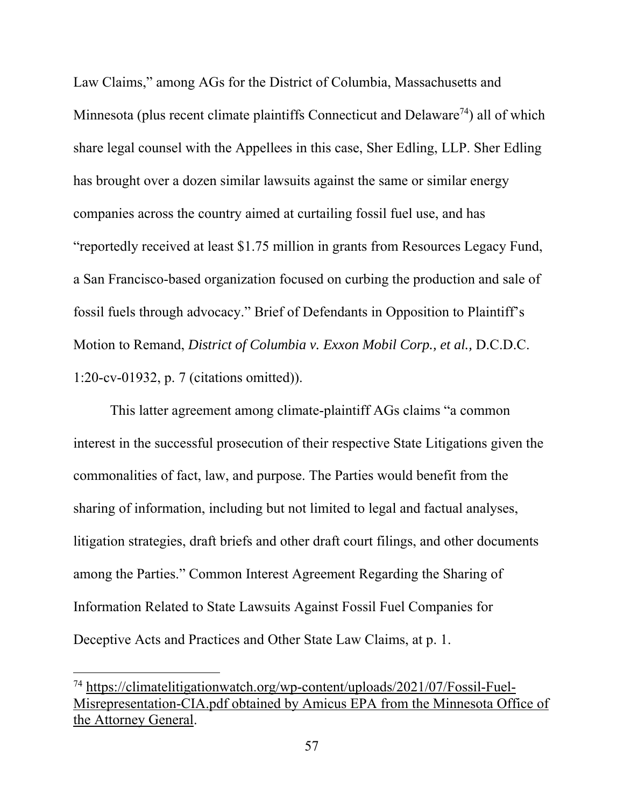Law Claims," among AGs for the District of Columbia, Massachusetts and Minnesota (plus recent climate plaintiffs Connecticut and Delaware<sup>74</sup>) all of which share legal counsel with the Appellees in this case, Sher Edling, LLP. Sher Edling has brought over a dozen similar lawsuits against the same or similar energy companies across the country aimed at curtailing fossil fuel use, and has "reportedly received at least \$1.75 million in grants from Resources Legacy Fund, a San Francisco-based organization focused on curbing the production and sale of fossil fuels through advocacy." Brief of Defendants in Opposition to Plaintiff's Motion to Remand, *District of Columbia v. Exxon Mobil Corp., et al.,* D.C.D.C. 1:20-cv-01932, p. 7 (citations omitted)).

 This latter agreement among climate-plaintiff AGs claims "a common interest in the successful prosecution of their respective State Litigations given the commonalities of fact, law, and purpose. The Parties would benefit from the sharing of information, including but not limited to legal and factual analyses, litigation strategies, draft briefs and other draft court filings, and other documents among the Parties." Common Interest Agreement Regarding the Sharing of Information Related to State Lawsuits Against Fossil Fuel Companies for Deceptive Acts and Practices and Other State Law Claims, at p. 1.

<sup>74</sup> https://climatelitigationwatch.org/wp-content/uploads/2021/07/Fossil-Fuel-Misrepresentation-CIA.pdf obtained by Amicus EPA from the Minnesota Office of the Attorney General.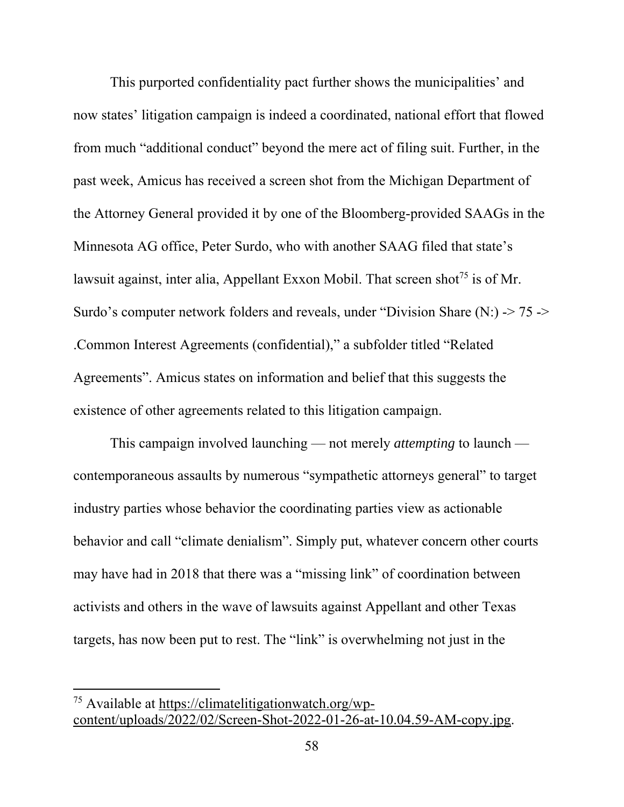This purported confidentiality pact further shows the municipalities' and now states' litigation campaign is indeed a coordinated, national effort that flowed from much "additional conduct" beyond the mere act of filing suit. Further, in the past week, Amicus has received a screen shot from the Michigan Department of the Attorney General provided it by one of the Bloomberg-provided SAAGs in the Minnesota AG office, Peter Surdo, who with another SAAG filed that state's lawsuit against, inter alia, Appellant Exxon Mobil. That screen shot<sup>75</sup> is of Mr. Surdo's computer network folders and reveals, under "Division Share (N:) -> 75 -> .Common Interest Agreements (confidential)," a subfolder titled "Related Agreements". Amicus states on information and belief that this suggests the existence of other agreements related to this litigation campaign.

 This campaign involved launching — not merely *attempting* to launch contemporaneous assaults by numerous "sympathetic attorneys general" to target industry parties whose behavior the coordinating parties view as actionable behavior and call "climate denialism". Simply put, whatever concern other courts may have had in 2018 that there was a "missing link" of coordination between activists and others in the wave of lawsuits against Appellant and other Texas targets, has now been put to rest. The "link" is overwhelming not just in the

<sup>75</sup> Available at https://climatelitigationwatch.org/wpcontent/uploads/2022/02/Screen-Shot-2022-01-26-at-10.04.59-AM-copy.jpg.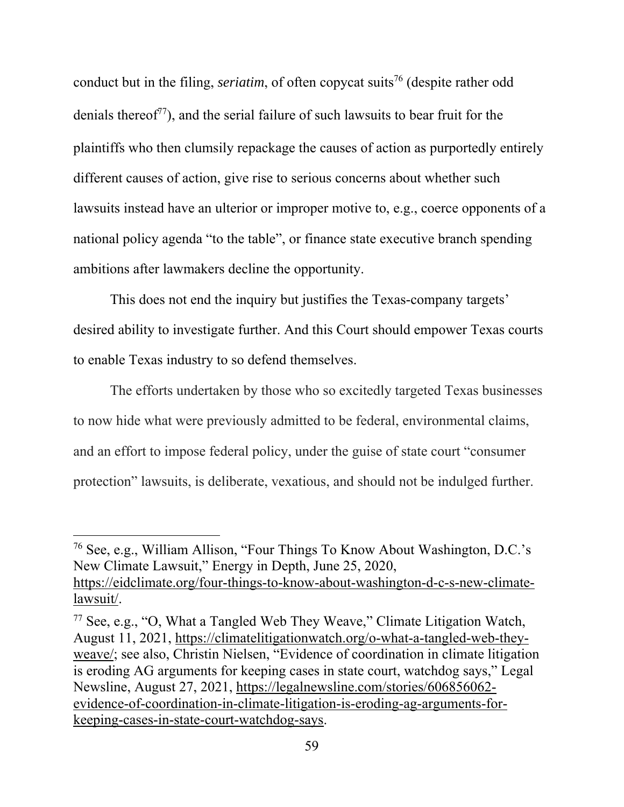conduct but in the filing, *seriatim*, of often copycat suits<sup>76</sup> (despite rather odd denials thereof<sup> $77$ </sup>), and the serial failure of such lawsuits to bear fruit for the plaintiffs who then clumsily repackage the causes of action as purportedly entirely different causes of action, give rise to serious concerns about whether such lawsuits instead have an ulterior or improper motive to, e.g., coerce opponents of a national policy agenda "to the table", or finance state executive branch spending ambitions after lawmakers decline the opportunity.

This does not end the inquiry but justifies the Texas-company targets' desired ability to investigate further. And this Court should empower Texas courts to enable Texas industry to so defend themselves.

The efforts undertaken by those who so excitedly targeted Texas businesses to now hide what were previously admitted to be federal, environmental claims, and an effort to impose federal policy, under the guise of state court "consumer protection" lawsuits, is deliberate, vexatious, and should not be indulged further.

<sup>76</sup> See, e.g., William Allison, "Four Things To Know About Washington, D.C.'s New Climate Lawsuit," Energy in Depth, June 25, 2020, https://eidclimate.org/four-things-to-know-about-washington-d-c-s-new-climatelawsuit/.

<sup>77</sup> See, e.g., "O, What a Tangled Web They Weave," Climate Litigation Watch, August 11, 2021, https://climatelitigationwatch.org/o-what-a-tangled-web-theyweave/; see also, Christin Nielsen, "Evidence of coordination in climate litigation is eroding AG arguments for keeping cases in state court, watchdog says," Legal Newsline, August 27, 2021, https://legalnewsline.com/stories/606856062 evidence-of-coordination-in-climate-litigation-is-eroding-ag-arguments-forkeeping-cases-in-state-court-watchdog-says.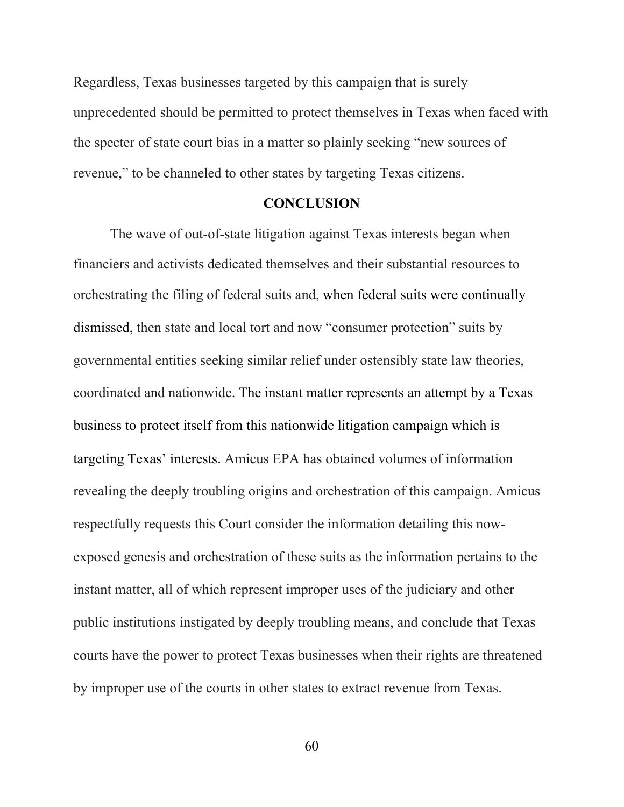Regardless, Texas businesses targeted by this campaign that is surely unprecedented should be permitted to protect themselves in Texas when faced with the specter of state court bias in a matter so plainly seeking "new sources of revenue," to be channeled to other states by targeting Texas citizens.

#### **CONCLUSION**

 The wave of out-of-state litigation against Texas interests began when financiers and activists dedicated themselves and their substantial resources to orchestrating the filing of federal suits and, when federal suits were continually dismissed, then state and local tort and now "consumer protection" suits by governmental entities seeking similar relief under ostensibly state law theories, coordinated and nationwide. The instant matter represents an attempt by a Texas business to protect itself from this nationwide litigation campaign which is targeting Texas' interests. Amicus EPA has obtained volumes of information revealing the deeply troubling origins and orchestration of this campaign. Amicus respectfully requests this Court consider the information detailing this nowexposed genesis and orchestration of these suits as the information pertains to the instant matter, all of which represent improper uses of the judiciary and other public institutions instigated by deeply troubling means, and conclude that Texas courts have the power to protect Texas businesses when their rights are threatened by improper use of the courts in other states to extract revenue from Texas.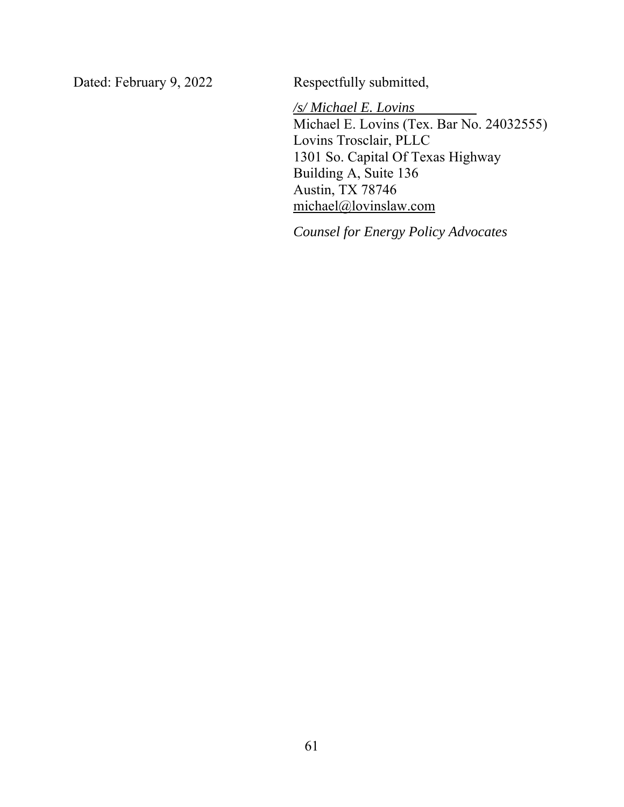Dated: February 9, 2022 Respectfully submitted,

*/s/ Michael E. Lovins*  Michael E. Lovins (Tex. Bar No. 24032555) Lovins Trosclair, PLLC 1301 So. Capital Of Texas Highway Building A, Suite 136 Austin, TX 78746 michael@lovinslaw.com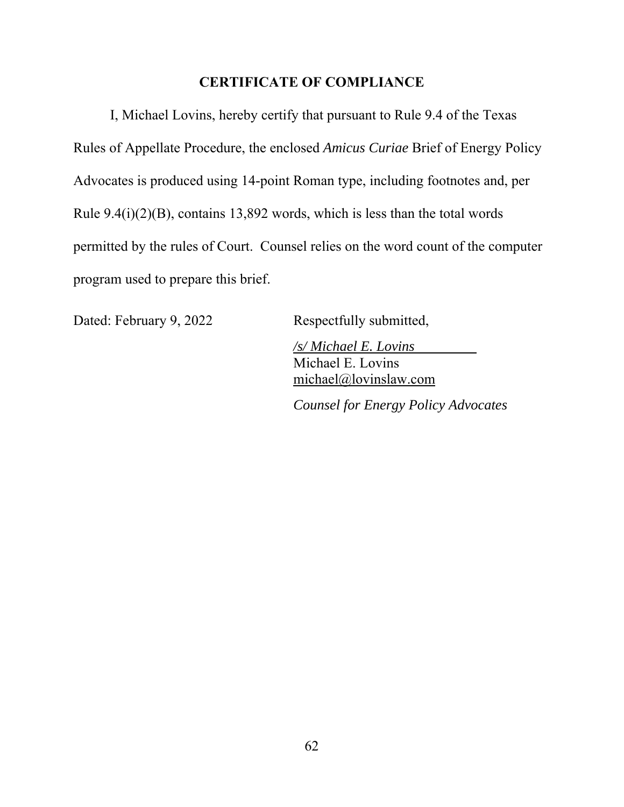### **CERTIFICATE OF COMPLIANCE**

 I, Michael Lovins, hereby certify that pursuant to Rule 9.4 of the Texas Rules of Appellate Procedure, the enclosed *Amicus Curiae* Brief of Energy Policy Advocates is produced using 14-point Roman type, including footnotes and, per Rule 9.4(i)(2)(B), contains 13,892 words, which is less than the total words permitted by the rules of Court. Counsel relies on the word count of the computer program used to prepare this brief.

Dated: February 9, 2022 Respectfully submitted,

*/s/ Michael E. Lovins*  Michael E. Lovins michael@lovinslaw.com